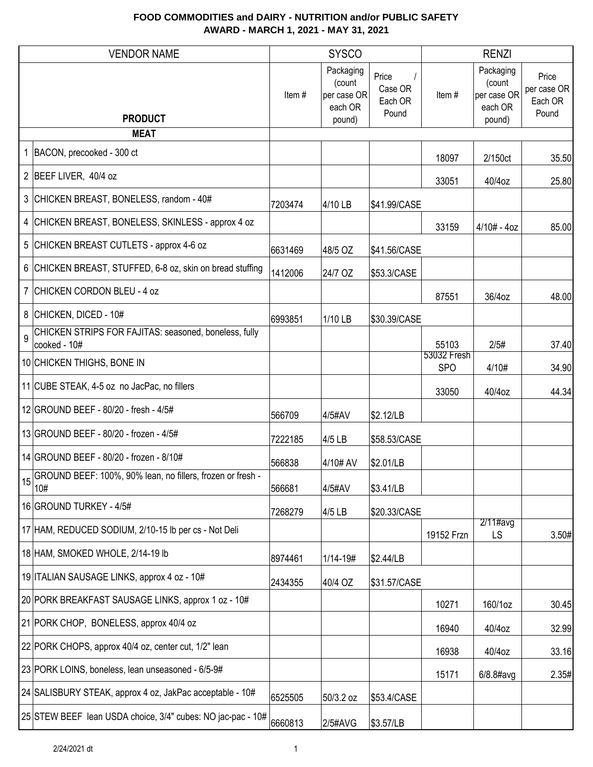|    | <b>VENDOR NAME</b>                                                    |                                                                                                          | <b>SYSCO</b> |              |                           | <b>RENZI</b>                                            |                                          |
|----|-----------------------------------------------------------------------|----------------------------------------------------------------------------------------------------------|--------------|--------------|---------------------------|---------------------------------------------------------|------------------------------------------|
|    | <b>PRODUCT</b><br><b>MEAT</b>                                         | Packaging<br>Price<br>(count<br>Case OR<br>Item#<br>per case OR<br>Each OR<br>each OR<br>Pound<br>pound) |              |              | Item#                     | Packaging<br>(count<br>per case OR<br>each OR<br>pound) | Price<br>per case OR<br>Each OR<br>Pound |
|    | 1 BACON, precooked - 300 ct                                           |                                                                                                          |              |              |                           |                                                         |                                          |
|    |                                                                       |                                                                                                          |              |              | 18097                     | 2/150ct                                                 | 35.50                                    |
|    | 2 BEEF LIVER, 40/4 oz                                                 |                                                                                                          |              |              | 33051                     | 40/4oz                                                  | 25.80                                    |
|    | 3 CHICKEN BREAST, BONELESS, random - 40#                              | 7203474                                                                                                  | 4/10 LB      | \$41.99/CASE |                           |                                                         |                                          |
|    | 4 CHICKEN BREAST, BONELESS, SKINLESS - approx 4 oz                    |                                                                                                          |              |              | 33159                     | $4/10# - 4oz$                                           | 85.00                                    |
|    | 5 CHICKEN BREAST CUTLETS - approx 4-6 oz                              | 6631469                                                                                                  | 48/5 OZ      | \$41.56/CASE |                           |                                                         |                                          |
|    | 6 CHICKEN BREAST, STUFFED, 6-8 oz, skin on bread stuffing             | 1412006                                                                                                  | 24/7 OZ      | \$53.3/CASE  |                           |                                                         |                                          |
|    | 7 CHICKEN CORDON BLEU - 4 oz                                          |                                                                                                          |              |              | 87551                     | 36/4oz                                                  | 48.00                                    |
|    | 8 CHICKEN, DICED - 10#                                                | 6993851                                                                                                  | 1/10 LB      | \$30.39/CASE |                           |                                                         |                                          |
| 9  | CHICKEN STRIPS FOR FAJITAS: seasoned, boneless, fully<br>cooked - 10# |                                                                                                          |              |              | 55103                     | 2/5#                                                    | 37.40                                    |
|    | 10 CHICKEN THIGHS, BONE IN                                            |                                                                                                          |              |              | 53032 Fresh<br><b>SPO</b> | 4/10#                                                   | 34.90                                    |
|    | 11 CUBE STEAK, 4-5 oz no JacPac, no fillers                           |                                                                                                          |              |              | 33050                     | 40/4oz                                                  | 44.34                                    |
|    | 12 GROUND BEEF - 80/20 - fresh - 4/5#                                 | 566709                                                                                                   | 4/5#AV       | \$2.12/LB    |                           |                                                         |                                          |
|    | 13 GROUND BEEF - 80/20 - frozen - 4/5#                                | 7222185                                                                                                  | 4/5 LB       | \$58.53/CASE |                           |                                                         |                                          |
|    | 14 GROUND BEEF - 80/20 - frozen - 8/10#                               | 566838                                                                                                   | 4/10# AV     | \$2.01/LB    |                           |                                                         |                                          |
| 15 | GROUND BEEF: 100%, 90% lean, no fillers, frozen or fresh -<br>10#     | 566681                                                                                                   | 4/5#AV       | \$3.41/LB    |                           |                                                         |                                          |
|    | 16 GROUND TURKEY - 4/5#                                               | 7268279                                                                                                  | 4/5 LB       | \$20.33/CASE |                           |                                                         |                                          |
|    | 17 HAM, REDUCED SODIUM, 2/10-15 lb per cs - Not Deli                  |                                                                                                          |              |              | 19152 Frzn                | $2/11$ #avg<br><b>LS</b>                                | 3.50#                                    |
|    | 18 HAM, SMOKED WHOLE, 2/14-19 lb                                      | 8974461                                                                                                  | 1/14-19#     | \$2.44/LB    |                           |                                                         |                                          |
|    | 19 ITALIAN SAUSAGE LINKS, approx 4 oz - 10#                           | 2434355                                                                                                  | 40/4 OZ      | \$31.57/CASE |                           |                                                         |                                          |
|    | 20 PORK BREAKFAST SAUSAGE LINKS, approx 1 oz - 10#                    |                                                                                                          |              |              | 10271                     | 160/1oz                                                 | 30.45                                    |
|    | 21 PORK CHOP, BONELESS, approx 40/4 oz                                |                                                                                                          |              |              | 16940                     | 40/4oz                                                  | 32.99                                    |
|    | 22 PORK CHOPS, approx 40/4 oz, center cut, 1/2" lean                  |                                                                                                          |              |              | 16938                     | 40/4oz                                                  | 33.16                                    |
|    | 23 PORK LOINS, boneless, lean unseasoned - 6/5-9#                     |                                                                                                          |              |              | 15171                     | $6/8.8$ #avg                                            | 2.35#                                    |
|    | 24 SALISBURY STEAK, approx 4 oz, JakPac acceptable - 10#              | 6525505                                                                                                  | 50/3.2 oz    | \$53.4/CASE  |                           |                                                         |                                          |
|    | 25 STEW BEEF lean USDA choice, 3/4" cubes: NO jac-pac - 10#           | 6660813                                                                                                  | 2/5#AVG      | \$3.57/LB    |                           |                                                         |                                          |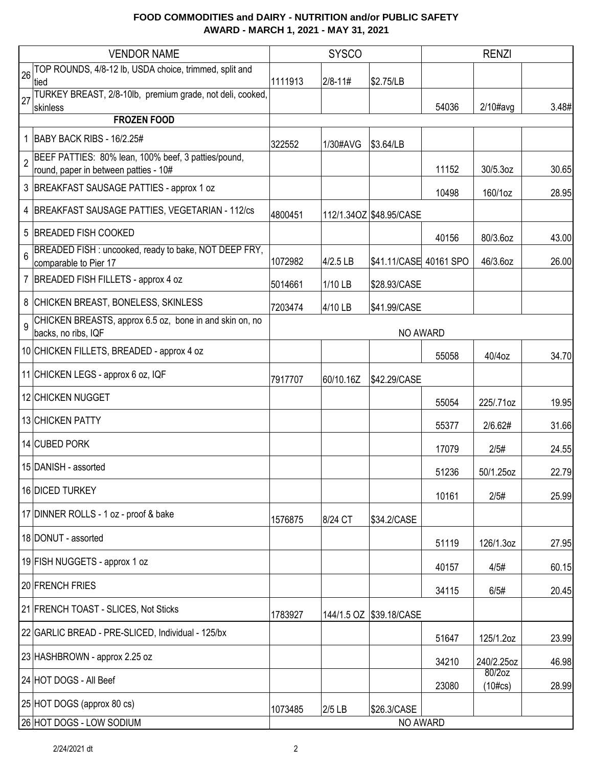|    | <b>VENDOR NAME</b>                                                                           |         | <b>SYSCO</b> |                         |          | <b>RENZI</b>           |       |
|----|----------------------------------------------------------------------------------------------|---------|--------------|-------------------------|----------|------------------------|-------|
| 26 | TOP ROUNDS, 4/8-12 lb, USDA choice, trimmed, split and<br>tied                               | 1111913 | $ 2/8 - 11#$ | \$2.75/LB               |          |                        |       |
| 27 | TURKEY BREAST, 2/8-10lb, premium grade, not deli, cooked,<br>skinless                        |         |              |                         | 54036    | $2/10\#avg$            | 3.48# |
|    | <b>FROZEN FOOD</b>                                                                           |         |              |                         |          |                        |       |
|    | 1 BABY BACK RIBS - 16/2.25#                                                                  | 322552  | 1/30#AVG     | \$3.64/LB               |          |                        |       |
|    | BEEF PATTIES: 80% lean, 100% beef, 3 patties/pound,<br>round, paper in between patties - 10# |         |              |                         | 11152    | 30/5.3oz               | 30.65 |
|    | 3 BREAKFAST SAUSAGE PATTIES - approx 1 oz                                                    |         |              |                         | 10498    | 160/1oz                | 28.95 |
|    | 4   BREAKFAST SAUSAGE PATTIES, VEGETARIAN - 112/cs                                           | 4800451 |              | 112/1.34OZ \$48.95/CASE |          |                        |       |
| 5  | <b>BREADED FISH COOKED</b>                                                                   |         |              |                         | 40156    | 80/3.6oz               | 43.00 |
| 6  | BREADED FISH : uncooked, ready to bake, NOT DEEP FRY,<br>comparable to Pier 17               | 1072982 | 4/2.5 LB     | \$41.11/CASE 40161 SPO  |          | 46/3.6oz               | 26.00 |
|    | 7 BREADED FISH FILLETS - approx 4 oz                                                         | 5014661 | 1/10 LB      | \$28.93/CASE            |          |                        |       |
|    | 8 CHICKEN BREAST, BONELESS, SKINLESS                                                         | 7203474 | 4/10 LB      | \$41.99/CASE            |          |                        |       |
| 9  | CHICKEN BREASTS, approx 6.5 oz, bone in and skin on, no<br>backs, no ribs, IQF               |         |              | NO AWARD                |          |                        |       |
|    | 10 CHICKEN FILLETS, BREADED - approx 4 oz                                                    |         |              |                         | 55058    | 40/4oz                 | 34.70 |
|    | 11 CHICKEN LEGS - approx 6 oz, IQF                                                           | 7917707 | 60/10.16Z    | \$42.29/CASE            |          |                        |       |
|    | 12 CHICKEN NUGGET                                                                            |         |              |                         | 55054    | 225/.71oz              | 19.95 |
|    | 13 CHICKEN PATTY                                                                             |         |              |                         | 55377    | 2/6.62#                | 31.66 |
|    | 14 CUBED PORK                                                                                |         |              |                         | 17079    | 2/5#                   | 24.55 |
|    | 15 DANISH - assorted                                                                         |         |              |                         | 51236    | 50/1.25oz              | 22.79 |
|    | 16 DICED TURKEY                                                                              |         |              |                         | 10161    | 2/5#                   | 25.99 |
|    | 17 DINNER ROLLS - 1 oz - proof & bake                                                        | 1576875 | 8/24 CT      | \$34.2/CASE             |          |                        |       |
|    | 18 DONUT - assorted                                                                          |         |              |                         | 51119    | 126/1.3oz              | 27.95 |
|    | 19 FISH NUGGETS - approx 1 oz                                                                |         |              |                         | 40157    | 4/5#                   | 60.15 |
|    | 20 FRENCH FRIES                                                                              |         |              |                         | 34115    | 6/5#                   | 20.45 |
|    | 21 FRENCH TOAST - SLICES, Not Sticks                                                         | 1783927 |              | 144/1.5 OZ \$39.18/CASE |          |                        |       |
|    | 22 GARLIC BREAD - PRE-SLICED, Individual - 125/bx                                            |         |              |                         | 51647    | 125/1.2oz              | 23.99 |
|    | 23 HASHBROWN - approx 2.25 oz                                                                |         |              |                         | 34210    | 240/2.25oz             | 46.98 |
|    | 24 HOT DOGS - All Beef                                                                       |         |              |                         | 23080    | 80/2oz<br>$(10 \# cs)$ | 28.99 |
|    | 25 HOT DOGS (approx 80 cs)                                                                   | 1073485 | $2/5$ LB     | \$26.3/CASE             |          |                        |       |
|    | 26 HOT DOGS - LOW SODIUM                                                                     |         |              |                         | NO AWARD |                        |       |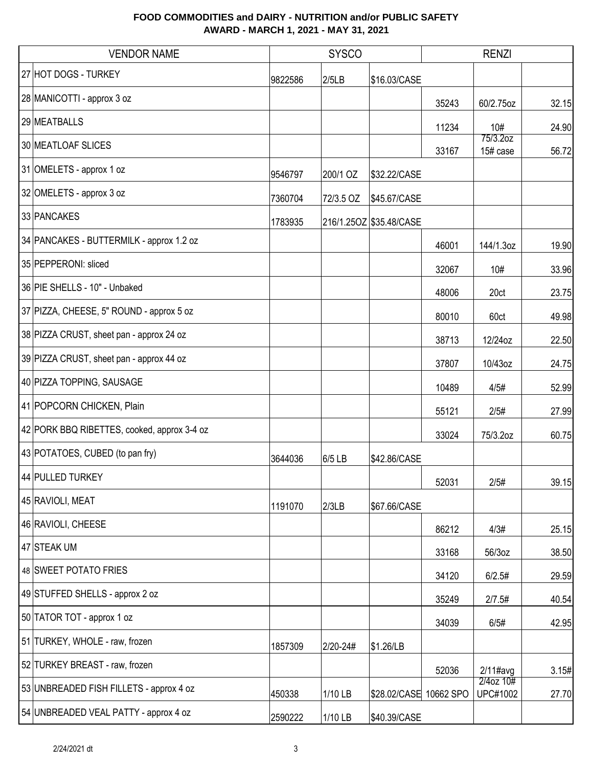| <b>VENDOR NAME</b>                          | <b>SYSCO</b> |           |                         | <b>RENZI</b> |                              |       |
|---------------------------------------------|--------------|-----------|-------------------------|--------------|------------------------------|-------|
| 27 HOT DOGS - TURKEY                        | 9822586      | 2/5LB     | \$16.03/CASE            |              |                              |       |
| 28 MANICOTTI - approx 3 oz                  |              |           |                         | 35243        | 60/2.75oz                    | 32.15 |
| 29 MEATBALLS                                |              |           |                         | 11234        | 10#                          | 24.90 |
| 30 MEATLOAF SLICES                          |              |           |                         | 33167        | 75/3.2oz<br>15# case         | 56.72 |
| 31 OMELETS - approx 1 oz                    | 9546797      | 200/1 OZ  | \$32.22/CASE            |              |                              |       |
| 32 OMELETS - approx 3 oz                    | 7360704      | 72/3.5 OZ | \$45.67/CASE            |              |                              |       |
| 33 PANCAKES                                 | 1783935      |           | 216/1.25OZ \$35.48/CASE |              |                              |       |
| 34 PANCAKES - BUTTERMILK - approx 1.2 oz    |              |           |                         | 46001        | 144/1.3oz                    | 19.90 |
| 35 PEPPERONI: sliced                        |              |           |                         | 32067        | 10#                          | 33.96 |
| 36 PIE SHELLS - 10" - Unbaked               |              |           |                         | 48006        | 20ct                         | 23.75 |
| 37 PIZZA, CHEESE, 5" ROUND - approx 5 oz    |              |           |                         | 80010        | 60ct                         | 49.98 |
| 38 PIZZA CRUST, sheet pan - approx 24 oz    |              |           |                         | 38713        | 12/24oz                      | 22.50 |
| 39 PIZZA CRUST, sheet pan - approx 44 oz    |              |           |                         | 37807        | 10/43oz                      | 24.75 |
| 40 PIZZA TOPPING, SAUSAGE                   |              |           |                         | 10489        | 4/5#                         | 52.99 |
| 41 POPCORN CHICKEN, Plain                   |              |           |                         | 55121        | 2/5#                         | 27.99 |
| 42 PORK BBQ RIBETTES, cooked, approx 3-4 oz |              |           |                         | 33024        | 75/3.2oz                     | 60.75 |
| 43 POTATOES, CUBED (to pan fry)             | 3644036      | 6/5 LB    | \$42.86/CASE            |              |                              |       |
| 44 PULLED TURKEY                            |              |           |                         | 52031        | 2/5#                         | 39.15 |
| 45 RAVIOLI, MEAT                            | 1191070      | 2/3LB     | \$67.66/CASE            |              |                              |       |
| 46 RAVIOLI, CHEESE                          |              |           |                         | 86212        | 4/3#                         | 25.15 |
| 47 STEAK UM                                 |              |           |                         | 33168        | 56/3oz                       | 38.50 |
| 48 SWEET POTATO FRIES                       |              |           |                         | 34120        | 6/2.5#                       | 29.59 |
| 49 STUFFED SHELLS - approx 2 oz             |              |           |                         | 35249        | 2/7.5#                       | 40.54 |
| 50 TATOR TOT - approx 1 oz                  |              |           |                         | 34039        | 6/5#                         | 42.95 |
| 51 TURKEY, WHOLE - raw, frozen              | 1857309      | 2/20-24#  | \$1.26/LB               |              |                              |       |
| 52 TURKEY BREAST - raw, frozen              |              |           |                         | 52036        | $2/11$ #avg                  | 3.15# |
| 53 UNBREADED FISH FILLETS - approx 4 oz     | 450338       | 1/10 LB   | \$28.02/CASE 10662 SPO  |              | 2/4oz 10#<br><b>UPC#1002</b> | 27.70 |
| 54 UNBREADED VEAL PATTY - approx 4 oz       | 2590222      | 1/10 LB   | \$40.39/CASE            |              |                              |       |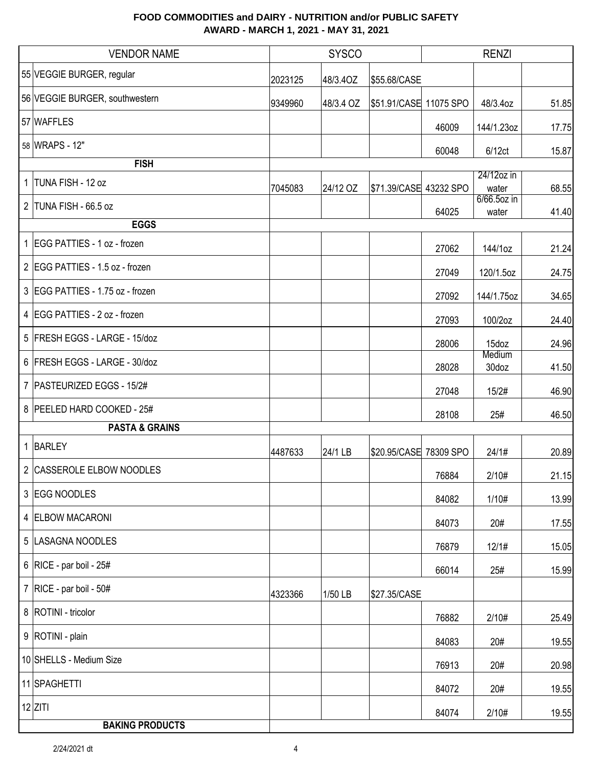| <b>VENDOR NAME</b>               |         | <b>SYSCO</b> |                        |           | <b>RENZI</b>         |       |
|----------------------------------|---------|--------------|------------------------|-----------|----------------------|-------|
| 55 VEGGIE BURGER, regular        | 2023125 | 48/3.4OZ     | \$55.68/CASE           |           |                      |       |
| 56 VEGGIE BURGER, southwestern   | 9349960 | 48/3.4 OZ    | \$51.91/CASE 11075 SPO |           | 48/3.4oz             | 51.85 |
| 57 WAFFLES                       |         |              |                        | 46009     | 144/1.23oz           | 17.75 |
| 58 WRAPS - 12"                   |         |              |                        | 60048     | 6/12ct               | 15.87 |
| <b>FISH</b>                      |         |              |                        |           |                      |       |
| 1 TUNA FISH - 12 oz              | 7045083 | 24/12 OZ     | \$71.39/CASE 43232 SPO |           | 24/12oz in<br>water  | 68.55 |
| 2 TUNA FISH - 66.5 oz            |         |              |                        | 64025     | 6/66.5oz in<br>water | 41.40 |
| <b>EGGS</b>                      |         |              |                        |           |                      |       |
| 1 EGG PATTIES - 1 oz - frozen    |         |              |                        | 27062     | 144/1oz              | 21.24 |
| 2 EGG PATTIES - 1.5 oz - frozen  |         |              |                        | 27049     | 120/1.5oz            | 24.75 |
| 3 EGG PATTIES - 1.75 oz - frozen |         |              |                        | 27092     | 144/1.75oz           | 34.65 |
| 4 EGG PATTIES - 2 oz - frozen    |         |              |                        | 27093     | 100/2oz              | 24.40 |
| 5 FRESH EGGS - LARGE - 15/doz    |         |              |                        | 28006     | 15doz                | 24.96 |
| 6 FRESH EGGS - LARGE - 30/doz    |         |              |                        | 28028     | Medium<br>30doz      | 41.50 |
| 7   PASTEURIZED EGGS - 15/2#     |         |              |                        | 27048     | 15/2#                | 46.90 |
| 8 PEELED HARD COOKED - 25#       |         |              |                        | 28108     | 25#                  | 46.50 |
| <b>PASTA &amp; GRAINS</b>        |         |              |                        |           |                      |       |
| 1 BARLEY                         | 4487633 | 24/1 LB      | \$20.95/CASE           | 78309 SPO | 24/1#                | 20.89 |
| 2 CASSEROLE ELBOW NOODLES        |         |              |                        | 76884     | 2/10#                | 21.15 |
| 3 EGG NOODLES                    |         |              |                        | 84082     | 1/10#                | 13.99 |
| 4 ELBOW MACARONI                 |         |              |                        | 84073     | 20#                  | 17.55 |
| 5 LASAGNA NOODLES                |         |              |                        | 76879     | 12/1#                | 15.05 |
| 6   RICE - par boil - $25#$      |         |              |                        | 66014     | 25#                  | 15.99 |
| 7   RICE - par boil - $50#$      | 4323366 | 1/50 LB      | \$27.35/CASE           |           |                      |       |
| 8   ROTINI - tricolor            |         |              |                        | 76882     | 2/10#                | 25.49 |
| 9   ROTINI - plain               |         |              |                        | 84083     | 20#                  | 19.55 |
| 10 SHELLS - Medium Size          |         |              |                        | 76913     | 20#                  | 20.98 |
| 11 SPAGHETTI                     |         |              |                        | 84072     | 20#                  | 19.55 |
| $12$ ZITI                        |         |              |                        | 84074     | 2/10#                | 19.55 |
| <b>BAKING PRODUCTS</b>           |         |              |                        |           |                      |       |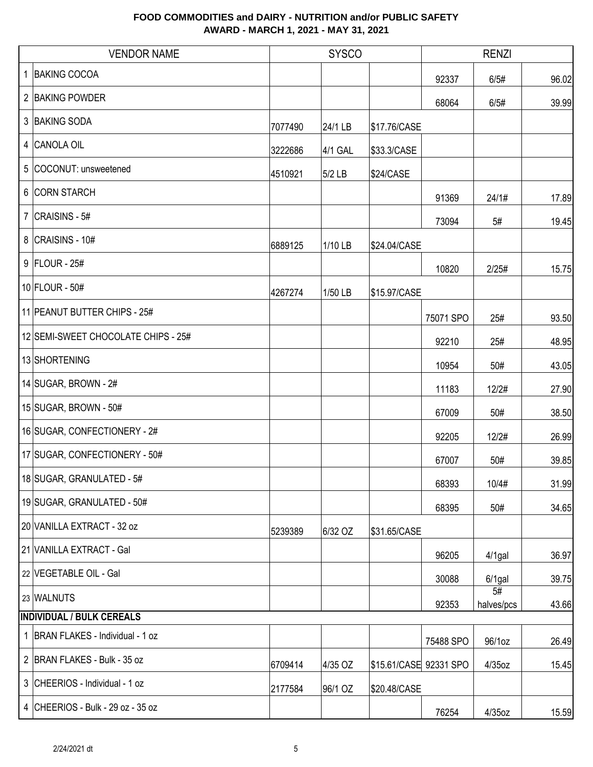| <b>VENDOR NAME</b>                  |         | <b>SYSCO</b> |                        | <b>RENZI</b> |                  |       |
|-------------------------------------|---------|--------------|------------------------|--------------|------------------|-------|
| 1 BAKING COCOA                      |         |              |                        | 92337        | 6/5#             | 96.02 |
| 2 BAKING POWDER                     |         |              |                        | 68064        | 6/5#             | 39.99 |
| 3 BAKING SODA                       | 7077490 | 24/1 LB      | \$17.76/CASE           |              |                  |       |
| 4 CANOLA OIL                        | 3222686 | 4/1 GAL      | \$33.3/CASE            |              |                  |       |
| 5 COCONUT: unsweetened              | 4510921 | 5/2 LB       | \$24/CASE              |              |                  |       |
| 6 CORN STARCH                       |         |              |                        | 91369        | 24/1#            | 17.89 |
| 7 $ CRAISINS - 5#$                  |         |              |                        | 73094        | 5#               | 19.45 |
| 8 CRAISINS - 10#                    | 6889125 | 1/10 LB      | \$24.04/CASE           |              |                  |       |
| 9 FLOUR - 25#                       |         |              |                        | 10820        | 2/25#            | 15.75 |
| $10$ FLOUR - 50#                    | 4267274 | 1/50 LB      | \$15.97/CASE           |              |                  |       |
| 11 PEANUT BUTTER CHIPS - 25#        |         |              |                        | 75071 SPO    | 25#              | 93.50 |
| 12 SEMI-SWEET CHOCOLATE CHIPS - 25# |         |              |                        | 92210        | 25#              | 48.95 |
| 13 SHORTENING                       |         |              |                        | 10954        | 50#              | 43.05 |
| 14 SUGAR, BROWN - $2#$              |         |              |                        | 11183        | 12/2#            | 27.90 |
| 15 SUGAR, BROWN - 50#               |         |              |                        | 67009        | 50#              | 38.50 |
| 16 SUGAR, CONFECTIONERY - 2#        |         |              |                        | 92205        | 12/2#            | 26.99 |
| 17 SUGAR, CONFECTIONERY - 50#       |         |              |                        | 67007        | 50#              | 39.85 |
| 18 SUGAR, GRANULATED - 5#           |         |              |                        | 68393        | 10/4#            | 31.99 |
| 19 SUGAR, GRANULATED - 50#          |         |              |                        | 68395        | 50#              | 34.65 |
| 20 VANILLA EXTRACT - 32 oz          | 5239389 | 6/32 OZ      | \$31.65/CASE           |              |                  |       |
| 21 VANILLA EXTRACT - Gal            |         |              |                        | 96205        | $4/1$ gal        | 36.97 |
| 22 VEGETABLE OIL - Gal              |         |              |                        | 30088        | $6/1$ gal        | 39.75 |
| 23 WALNUTS                          |         |              |                        | 92353        | 5#<br>halves/pcs | 43.66 |
| <b>INDIVIDUAL / BULK CEREALS</b>    |         |              |                        |              |                  |       |
| 1 BRAN FLAKES - Individual - 1 oz   |         |              |                        | 75488 SPO    | 96/1oz           | 26.49 |
| 2 BRAN FLAKES - Bulk - 35 oz        | 6709414 | 4/35 OZ      | \$15.61/CASE 92331 SPO |              | 4/35oz           | 15.45 |
| 3 CHEERIOS - Individual - 1 oz      | 2177584 | 96/1 OZ      | \$20.48/CASE           |              |                  |       |
| 4 CHEERIOS - Bulk - 29 oz - 35 oz   |         |              |                        | 76254        | 4/35oz           | 15.59 |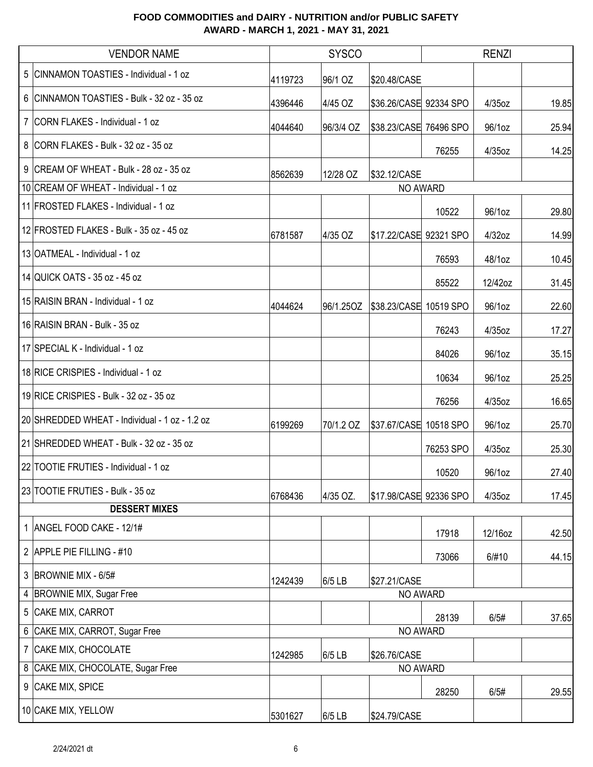|   | <b>VENDOR NAME</b>                             |         | <b>SYSCO</b> |                        |           | <b>RENZI</b> |       |
|---|------------------------------------------------|---------|--------------|------------------------|-----------|--------------|-------|
|   | 5 CINNAMON TOASTIES - Individual - 1 oz        | 4119723 | 96/1 OZ      | \$20.48/CASE           |           |              |       |
|   | 6 CINNAMON TOASTIES - Bulk - 32 oz - 35 oz     | 4396446 | 4/45 OZ      | \$36.26/CASE 92334 SPO |           | 4/35oz       | 19.85 |
|   | 7 CORN FLAKES - Individual - 1 oz              | 4044640 | 96/3/4 OZ    | \$38.23/CASE 76496 SPO |           | 96/1oz       | 25.94 |
|   | 8 CORN FLAKES - Bulk - 32 oz - 35 oz           |         |              |                        | 76255     | 4/35oz       | 14.25 |
|   | 9 CREAM OF WHEAT - Bulk - 28 oz - 35 oz        | 8562639 | 12/28 OZ     | \$32.12/CASE           |           |              |       |
|   | 10 CREAM OF WHEAT - Individual - 1 oz          |         |              | NO AWARD               |           |              |       |
|   | 11 FROSTED FLAKES - Individual - 1 oz          |         |              |                        | 10522     | 96/1oz       | 29.80 |
|   | 12 FROSTED FLAKES - Bulk - 35 oz - 45 oz       | 6781587 | 4/35 OZ      | \$17.22/CASE 92321 SPO |           | 4/32oz       | 14.99 |
|   | 13 OATMEAL - Individual - 1 oz                 |         |              |                        | 76593     | 48/1oz       | 10.45 |
|   | 14 QUICK OATS - 35 oz - 45 oz                  |         |              |                        | 85522     | 12/42oz      | 31.45 |
|   | 15 RAISIN BRAN - Individual - 1 oz             | 4044624 | 96/1.25OZ    | \$38.23/CASE 10519 SPO |           | 96/1oz       | 22.60 |
|   | 16 RAISIN BRAN - Bulk - 35 oz                  |         |              |                        | 76243     | 4/35oz       | 17.27 |
|   | 17 SPECIAL K - Individual - 1 oz               |         |              |                        | 84026     | 96/1oz       | 35.15 |
|   | 18 RICE CRISPIES - Individual - 1 oz           |         |              |                        | 10634     | 96/1oz       | 25.25 |
|   | 19 RICE CRISPIES - Bulk - 32 oz - 35 oz        |         |              |                        | 76256     | 4/35oz       | 16.65 |
|   | 20 SHREDDED WHEAT - Individual - 1 oz - 1.2 oz | 6199269 | 70/1.2 OZ    | \$37.67/CASE 10518 SPO |           | 96/1oz       | 25.70 |
|   | 21 SHREDDED WHEAT - Bulk - 32 oz - 35 oz       |         |              |                        | 76253 SPO | 4/35oz       | 25.30 |
|   | 22 TOOTIE FRUTIES - Individual - 1 oz          |         |              |                        | 10520     | 96/1oz       | 27.40 |
|   | 23 TOOTIE FRUTIES - Bulk - 35 oz               | 6768436 | 4/35 OZ.     | \$17.98/CASE 92336 SPO |           | $4/35$ oz    | 17.45 |
|   | <b>DESSERT MIXES</b>                           |         |              |                        |           |              |       |
|   | 1   ANGEL FOOD CAKE - 12/1#                    |         |              |                        | 17918     | 12/16oz      | 42.50 |
|   | 2 APPLE PIE FILLING - #10                      |         |              |                        | 73066     | 6/#10        | 44.15 |
|   | 3 BROWNIE MIX - 6/5#                           | 1242439 | 6/5 LB       | \$27.21/CASE           |           |              |       |
|   | 4 BROWNIE MIX, Sugar Free                      |         |              | NO AWARD               |           |              |       |
|   | 5 CAKE MIX, CARROT                             |         |              |                        | 28139     | 6/5#         | 37.65 |
|   | 6 CAKE MIX, CARROT, Sugar Free                 |         |              | NO AWARD               |           |              |       |
|   | 7 CAKE MIX, CHOCOLATE                          | 1242985 | 6/5 LB       | \$26.76/CASE           |           |              |       |
| 8 | CAKE MIX, CHOCOLATE, Sugar Free                |         |              | NO AWARD               |           |              |       |
|   | 9 CAKE MIX, SPICE                              |         |              |                        | 28250     | 6/5#         | 29.55 |
|   | 10 CAKE MIX, YELLOW                            | 5301627 | 6/5 LB       | \$24.79/CASE           |           |              |       |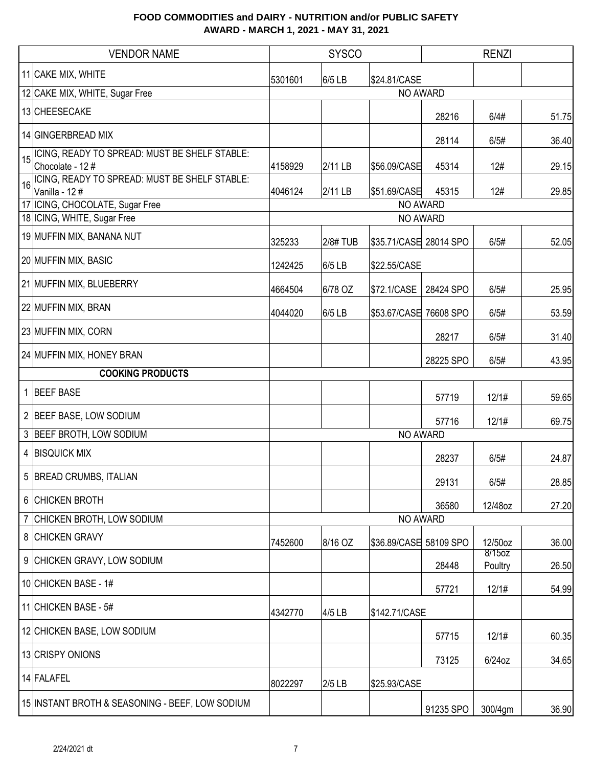|                 | <b>VENDOR NAME</b>                                               |         | <b>SYSCO</b> |                        |           | <b>RENZI</b>         |       |
|-----------------|------------------------------------------------------------------|---------|--------------|------------------------|-----------|----------------------|-------|
|                 | 11 CAKE MIX, WHITE                                               | 5301601 | 6/5 LB       | \$24.81/CASE           |           |                      |       |
|                 | 12 CAKE MIX, WHITE, Sugar Free                                   |         |              |                        | NO AWARD  |                      |       |
|                 | 13 CHEESECAKE                                                    |         |              |                        | 28216     | 6/4#                 | 51.75 |
|                 | 14 GINGERBREAD MIX                                               |         |              |                        | 28114     | 6/5#                 | 36.40 |
| 15 <sup>1</sup> | ICING, READY TO SPREAD: MUST BE SHELF STABLE:<br>Chocolate - 12# | 4158929 | 2/11 LB      | \$56.09/CASE           | 45314     | 12#                  | 29.15 |
| 16              | ICING, READY TO SPREAD: MUST BE SHELF STABLE:<br>Vanilla - 12#   | 4046124 | 2/11 LB      | \$51.69/CASE           | 45315     | 12#                  | 29.85 |
|                 | 17 ICING, CHOCOLATE, Sugar Free                                  |         |              |                        | NO AWARD  |                      |       |
|                 | 18 ICING, WHITE, Sugar Free                                      |         |              |                        | NO AWARD  |                      |       |
|                 | 19 MUFFIN MIX, BANANA NUT                                        | 325233  | 2/8#TUB      | \$35.71/CASE 28014 SPO |           | 6/5#                 | 52.05 |
|                 | 20 MUFFIN MIX, BASIC                                             | 1242425 | 6/5 LB       | \$22.55/CASE           |           |                      |       |
|                 | 21 MUFFIN MIX, BLUEBERRY                                         | 4664504 | 6/78 OZ      | \$72.1/CASE            | 28424 SPO | 6/5#                 | 25.95 |
|                 | 22 MUFFIN MIX, BRAN                                              | 4044020 | 6/5 LB       | \$53.67/CASE 76608 SPO |           | 6/5#                 | 53.59 |
|                 | 23 MUFFIN MIX, CORN                                              |         |              |                        | 28217     | 6/5#                 | 31.40 |
|                 | 24 MUFFIN MIX, HONEY BRAN                                        |         |              |                        | 28225 SPO | 6/5#                 | 43.95 |
|                 | <b>COOKING PRODUCTS</b>                                          |         |              |                        |           |                      |       |
|                 | 1 BEEF BASE                                                      |         |              |                        | 57719     | 12/1#                | 59.65 |
|                 | 2 BEEF BASE, LOW SODIUM                                          |         |              |                        | 57716     | 12/1#                | 69.75 |
|                 | 3 BEEF BROTH, LOW SODIUM                                         |         |              |                        | NO AWARD  |                      |       |
|                 | 4 BISQUICK MIX                                                   |         |              |                        | 28237     | 6/5#                 | 24.87 |
|                 | 5 BREAD CRUMBS, ITALIAN                                          |         |              |                        | 29131     | 6/5#                 | 28.85 |
|                 | 6 CHICKEN BROTH                                                  |         |              |                        | 36580     | 12/48oz              | 27.20 |
|                 | 7 CHICKEN BROTH, LOW SODIUM                                      |         |              | NO AWARD               |           |                      |       |
|                 | 8 CHICKEN GRAVY                                                  | 7452600 | 8/16 OZ      | \$36.89/CASE 58109 SPO |           | 12/50oz              | 36.00 |
|                 | 9 CHICKEN GRAVY, LOW SODIUM                                      |         |              |                        | 28448     | $8/15$ oz<br>Poultry | 26.50 |
|                 | 10 CHICKEN BASE - 1#                                             |         |              |                        | 57721     | 12/1#                | 54.99 |
|                 | 11 CHICKEN BASE - 5#                                             | 4342770 | 4/5 LB       | \$142.71/CASE          |           |                      |       |
|                 | 12 CHICKEN BASE, LOW SODIUM                                      |         |              |                        | 57715     | 12/1#                | 60.35 |
|                 | 13 CRISPY ONIONS                                                 |         |              |                        | 73125     | $6/24$ oz            | 34.65 |
|                 | 14 FALAFEL                                                       | 8022297 | $2/5$ LB     | \$25.93/CASE           |           |                      |       |
|                 | 15 INSTANT BROTH & SEASONING - BEEF, LOW SODIUM                  |         |              |                        | 91235 SPO | 300/4gm              | 36.90 |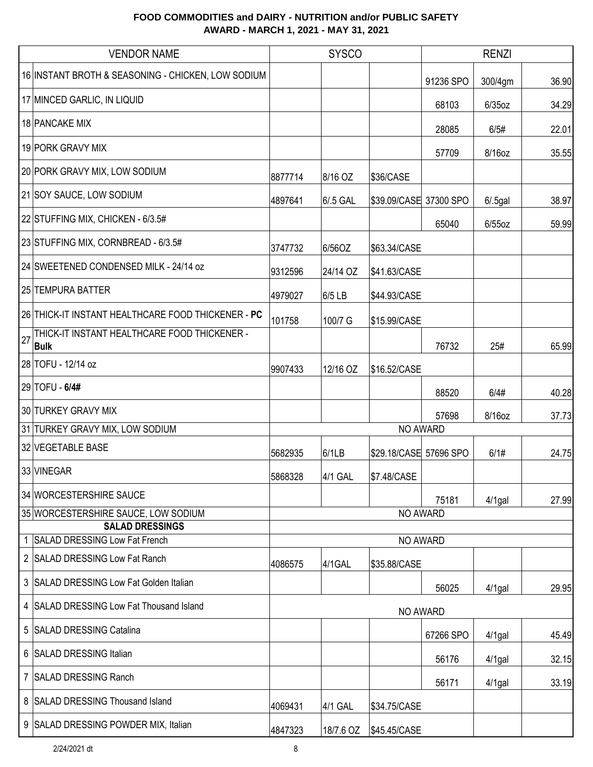|    | <b>VENDOR NAME</b>                                          | <b>SYSCO</b> |           |                        | <b>RENZI</b> |             |       |
|----|-------------------------------------------------------------|--------------|-----------|------------------------|--------------|-------------|-------|
|    | 16 INSTANT BROTH & SEASONING - CHICKEN, LOW SODIUM          |              |           |                        | 91236 SPO    | 300/4gm     | 36.90 |
|    | 17 MINCED GARLIC, IN LIQUID                                 |              |           |                        | 68103        | $6/35$ oz   | 34.29 |
|    | <b>18 PANCAKE MIX</b>                                       |              |           |                        | 28085        | 6/5#        | 22.01 |
|    | 19 PORK GRAVY MIX                                           |              |           |                        | 57709        | 8/16oz      | 35.55 |
|    | 20 PORK GRAVY MIX, LOW SODIUM                               | 8877714      | 8/16 OZ   | \$36/CASE              |              |             |       |
|    | 21 SOY SAUCE, LOW SODIUM                                    | 4897641      | 6/.5 GAL  | \$39.09/CASE 37300 SPO |              | $6/0.5$ gal | 38.97 |
|    | 22 STUFFING MIX, CHICKEN - 6/3.5#                           |              |           |                        | 65040        | $6/55$ oz   | 59.99 |
|    | 23 STUFFING MIX, CORNBREAD - 6/3.5#                         | 3747732      | 6/56OZ    | \$63.34/CASE           |              |             |       |
|    | 24 SWEETENED CONDENSED MILK - 24/14 oz                      | 9312596      | 24/14 OZ  | \$41.63/CASE           |              |             |       |
|    | 25 TEMPURA BATTER                                           | 4979027      | 6/5 LB    | \$44.93/CASE           |              |             |       |
|    | 26 THICK-IT INSTANT HEALTHCARE FOOD THICKENER - PC          | 101758       | 100/7 G   | \$15.99/CASE           |              |             |       |
| 27 | THICK-IT INSTANT HEALTHCARE FOOD THICKENER -<br><b>Bulk</b> |              |           |                        | 76732        | 25#         | 65.99 |
|    | 28 TOFU - 12/14 oz                                          | 9907433      | 12/16 OZ  | \$16.52/CASE           |              |             |       |
|    | 29 TOFU - 6/4#                                              |              |           |                        | 88520        | 6/4#        | 40.28 |
|    | 30 TURKEY GRAVY MIX                                         |              |           |                        | 57698        | 8/16oz      | 37.73 |
|    | 31 TURKEY GRAVY MIX, LOW SODIUM                             |              |           | NO AWARD               |              |             |       |
|    | 32 VEGETABLE BASE                                           | 5682935      | 6/1LB     | \$29.18/CASE 57696 SPO |              | 6/1#        | 24.75 |
|    | 33 VINEGAR                                                  | 5868328      | 4/1 GAL   | \$7.48/CASE            |              |             |       |
|    | 34 WORCESTERSHIRE SAUCE                                     |              |           |                        | 75181        | $4/1$ gal   | 27.99 |
|    | 35 WORCESTERSHIRE SAUCE, LOW SODIUM                         |              |           | NO AWARD               |              |             |       |
|    | <b>SALAD DRESSINGS</b><br>1 SALAD DRESSING Low Fat French   |              |           | NO AWARD               |              |             |       |
|    | 2 SALAD DRESSING Low Fat Ranch                              | 4086575      | 4/1GAL    | \$35.88/CASE           |              |             |       |
|    | 3 SALAD DRESSING Low Fat Golden Italian                     |              |           |                        | 56025        | $4/1$ gal   | 29.95 |
|    | 4 SALAD DRESSING Low Fat Thousand Island                    |              |           | <b>NO AWARD</b>        |              |             |       |
|    | 5 SALAD DRESSING Catalina                                   |              |           |                        | 67266 SPO    | $4/1$ gal   | 45.49 |
|    | 6 SALAD DRESSING Italian                                    |              |           |                        | 56176        | $4/1$ gal   | 32.15 |
|    | 7 SALAD DRESSING Ranch                                      |              |           |                        | 56171        | $4/1$ gal   | 33.19 |
|    | 8 SALAD DRESSING Thousand Island                            | 4069431      | 4/1 GAL   | \$34.75/CASE           |              |             |       |
|    | 9 SALAD DRESSING POWDER MIX, Italian                        | 4847323      | 18/7.6 OZ | \$45.45/CASE           |              |             |       |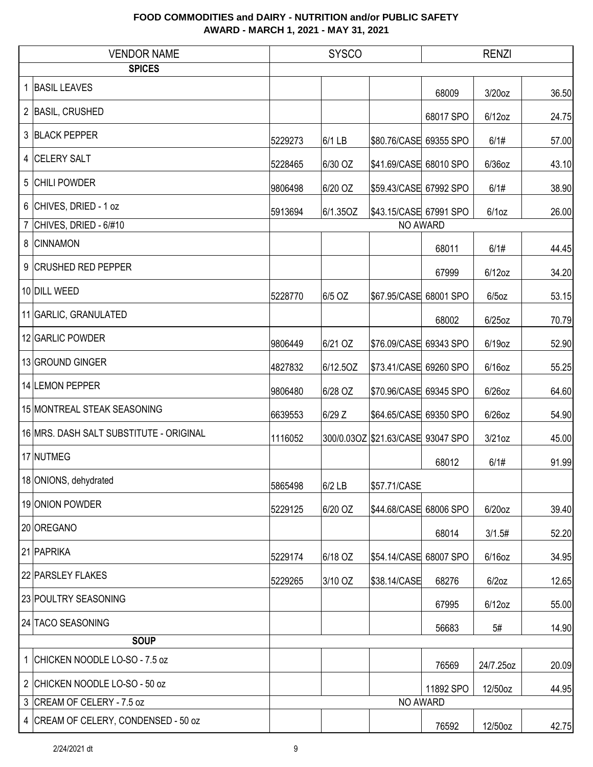| <b>VENDOR NAME</b>                      |         | <b>SYSCO</b> |                                   | <b>RENZI</b> |           |       |
|-----------------------------------------|---------|--------------|-----------------------------------|--------------|-----------|-------|
| <b>SPICES</b>                           |         |              |                                   |              |           |       |
| 1 BASIL LEAVES                          |         |              |                                   | 68009        | 3/20oz    | 36.50 |
| 2 BASIL, CRUSHED                        |         |              |                                   | 68017 SPO    | $6/12$ oz | 24.75 |
| 3 BLACK PEPPER                          | 5229273 | 6/1 LB       | \$80.76/CASE 69355 SPO            |              | 6/1#      | 57.00 |
| 4 CELERY SALT                           | 5228465 | 6/30 OZ      | \$41.69/CASE 68010 SPO            |              | $6/36$ oz | 43.10 |
| 5 CHILI POWDER                          | 9806498 | 6/20 OZ      | \$59.43/CASE 67992 SPO            |              | 6/1#      | 38.90 |
| 6 CHIVES, DRIED - 1 oz                  | 5913694 | 6/1.35OZ     | \$43.15/CASE 67991 SPO            |              | $6/1$ oz  | 26.00 |
| 7 CHIVES, DRIED - $6/#10$               |         |              |                                   | NO AWARD     |           |       |
| 8 CINNAMON                              |         |              |                                   | 68011        | 6/1#      | 44.45 |
| 9 CRUSHED RED PEPPER                    |         |              |                                   | 67999        | $6/12$ oz | 34.20 |
| 10 DILL WEED                            | 5228770 | 6/5 OZ       | \$67.95/CASE 68001 SPO            |              | $6/5$ oz  | 53.15 |
| 11 GARLIC, GRANULATED                   |         |              |                                   | 68002        | $6/25$ oz | 70.79 |
| 12 GARLIC POWDER                        | 9806449 | 6/21 OZ      | \$76.09/CASE 69343 SPO            |              | 6/19oz    | 52.90 |
| 13 GROUND GINGER                        | 4827832 | 6/12.5OZ     | \$73.41/CASE 69260 SPO            |              | $6/16$ oz | 55.25 |
| 14 LEMON PEPPER                         | 9806480 | 6/28 OZ      | \$70.96/CASE 69345 SPO            |              | $6/26$ oz | 64.60 |
| 15 MONTREAL STEAK SEASONING             | 6639553 | 6/29 Z       | \$64.65/CASE 69350 SPO            |              | 6/26oz    | 54.90 |
| 16 MRS. DASH SALT SUBSTITUTE - ORIGINAL | 1116052 |              | 300/0.03OZ \$21.63/CASE 93047 SPO |              | $3/21$ oz | 45.00 |
| 17 NUTMEG                               |         |              |                                   | 68012        | 6/1#      | 91.99 |
| 18 ONIONS, dehydrated                   | 5865498 | $6/2$ LB     | \$57.71/CASE                      |              |           |       |
| 19 ONION POWDER                         | 5229125 | 6/20 OZ      | \$44.68/CASE 68006 SPO            |              | $6/20$ oz | 39.40 |
| 20 OREGANO                              |         |              |                                   | 68014        | 3/1.5#    | 52.20 |
| 21 PAPRIKA                              | 5229174 | 6/18 OZ      | \$54.14/CASE 68007 SPO            |              | $6/16$ oz | 34.95 |
| 22 PARSLEY FLAKES                       | 5229265 | 3/10 OZ      | \$38.14/CASE                      | 68276        | $6/2$ oz  | 12.65 |
| 23 POULTRY SEASONING                    |         |              |                                   | 67995        | $6/12$ oz | 55.00 |
| 24 TACO SEASONING                       |         |              |                                   | 56683        | 5#        | 14.90 |
| <b>SOUP</b>                             |         |              |                                   |              |           |       |
| 1 CHICKEN NOODLE LO-SO - 7.5 oz         |         |              |                                   | 76569        | 24/7.25oz | 20.09 |
| 2 CHICKEN NOODLE LO-SO - 50 oz          |         |              |                                   | 11892 SPO    | 12/50oz   | 44.95 |
| 3 CREAM OF CELERY - 7.5 oz              |         |              |                                   | NO AWARD     |           |       |
| 4 CREAM OF CELERY, CONDENSED - 50 oz    |         |              |                                   | 76592        | 12/50oz   | 42.75 |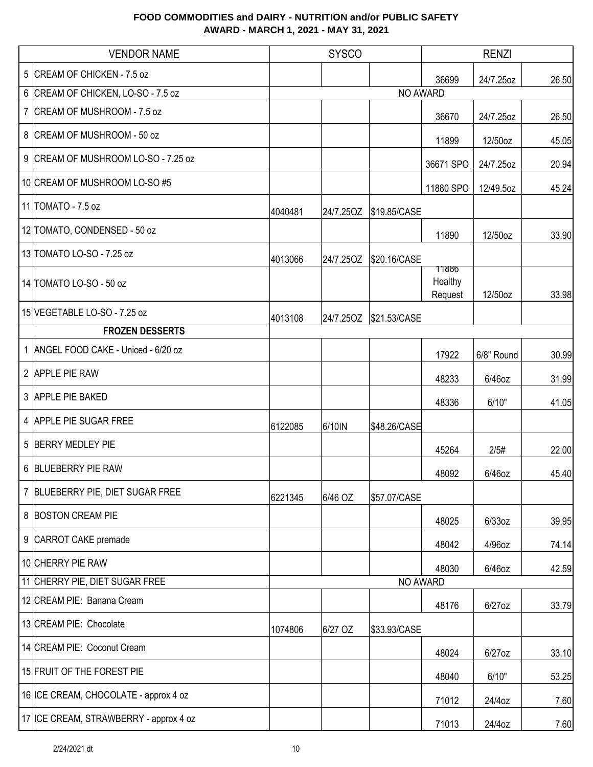| <b>VENDOR NAME</b>                     |         | <b>SYSCO</b> |              |                             | <b>RENZI</b> |       |
|----------------------------------------|---------|--------------|--------------|-----------------------------|--------------|-------|
| 5 CREAM OF CHICKEN - 7.5 oz            |         |              |              | 36699                       | 24/7.25oz    | 26.50 |
| 6 CREAM OF CHICKEN, LO-SO - 7.5 oz     |         |              | NO AWARD     |                             |              |       |
| 7 CREAM OF MUSHROOM - 7.5 oz           |         |              |              | 36670                       | 24/7.25oz    | 26.50 |
| 8 CREAM OF MUSHROOM - 50 oz            |         |              |              | 11899                       | 12/50oz      | 45.05 |
| 9 CREAM OF MUSHROOM LO-SO - 7.25 oz    |         |              |              | 36671 SPO                   | 24/7.25oz    | 20.94 |
| 10 CREAM OF MUSHROOM LO-SO #5          |         |              |              | 11880 SPO                   | 12/49.5oz    | 45.24 |
| 11 TOMATO - 7.5 oz                     | 4040481 | 24/7.25OZ    | \$19.85/CASE |                             |              |       |
| 12 TOMATO, CONDENSED - 50 oz           |         |              |              | 11890                       | 12/50oz      | 33.90 |
| 13 TOMATO LO-SO - 7.25 oz              | 4013066 | 24/7.25OZ    | \$20.16/CASE |                             |              |       |
| 14 TOMATO LO-SO - 50 oz                |         |              |              | 11886<br>Healthy<br>Request | 12/50oz      | 33.98 |
| 15 VEGETABLE LO-SO - 7.25 oz           | 4013108 | 24/7.25OZ    | \$21.53/CASE |                             |              |       |
| <b>FROZEN DESSERTS</b>                 |         |              |              |                             |              |       |
| 1 ANGEL FOOD CAKE - Uniced - 6/20 oz   |         |              |              | 17922                       | 6/8" Round   | 30.99 |
| 2 APPLE PIE RAW                        |         |              |              | 48233                       | 6/46oz       | 31.99 |
| 3 APPLE PIE BAKED                      |         |              |              | 48336                       | 6/10"        | 41.05 |
| 4 APPLE PIE SUGAR FREE                 | 6122085 | 6/10IN       | \$48.26/CASE |                             |              |       |
| 5 BERRY MEDLEY PIE                     |         |              |              | 45264                       | 2/5#         | 22.00 |
| 6 BLUEBERRY PIE RAW                    |         |              |              | 48092                       | $6/46$ oz    | 45.40 |
| 7 BLUEBERRY PIE, DIET SUGAR FREE       | 6221345 | 6/46 OZ      | \$57.07/CASE |                             |              |       |
| 8 BOSTON CREAM PIE                     |         |              |              | 48025                       | $6/33$ oz    | 39.95 |
| 9 CARROT CAKE premade                  |         |              |              | 48042                       | 4/96oz       | 74.14 |
| 10 CHERRY PIE RAW                      |         |              |              | 48030                       | 6/46oz       | 42.59 |
| 11 CHERRY PIE, DIET SUGAR FREE         |         |              | NO AWARD     |                             |              |       |
| 12 CREAM PIE: Banana Cream             |         |              |              | 48176                       | $6/27$ oz    | 33.79 |
| 13 CREAM PIE: Chocolate                | 1074806 | 6/27 OZ      | \$33.93/CASE |                             |              |       |
| 14 CREAM PIE: Coconut Cream            |         |              |              | 48024                       | $6/27$ oz    | 33.10 |
| 15 FRUIT OF THE FOREST PIE             |         |              |              | 48040                       | 6/10"        | 53.25 |
| 16 ICE CREAM, CHOCOLATE - approx 4 oz  |         |              |              | 71012                       | 24/4oz       | 7.60  |
| 17 ICE CREAM, STRAWBERRY - approx 4 oz |         |              |              | 71013                       | 24/4oz       | 7.60  |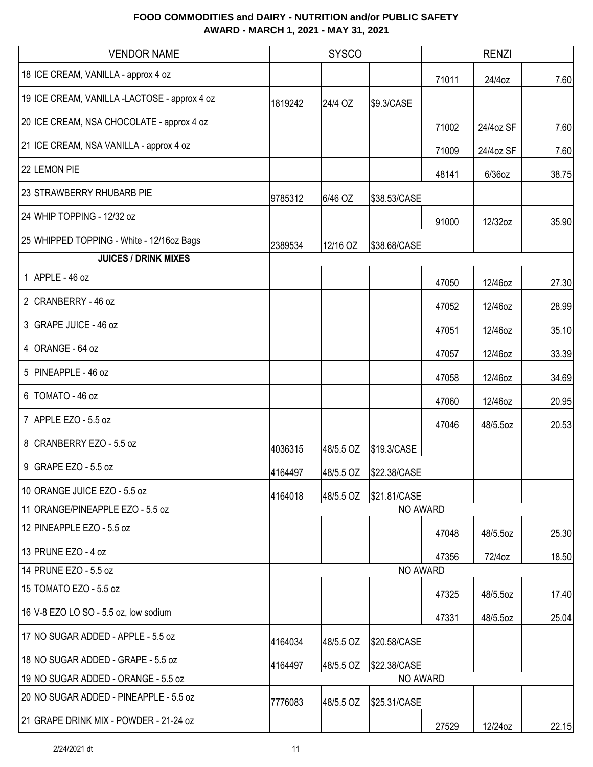|   | <b>VENDOR NAME</b>                           |         | <b>SYSCO</b> |              |       | <b>RENZI</b> |       |
|---|----------------------------------------------|---------|--------------|--------------|-------|--------------|-------|
|   | 18 ICE CREAM, VANILLA - approx 4 oz          |         |              |              | 71011 | 24/4oz       | 7.60  |
|   | 19 ICE CREAM, VANILLA -LACTOSE - approx 4 oz | 1819242 | 24/4 OZ      | \$9.3/CASE   |       |              |       |
|   | 20 ICE CREAM, NSA CHOCOLATE - approx 4 oz    |         |              |              | 71002 | 24/4oz SF    | 7.60  |
|   | 21 ICE CREAM, NSA VANILLA - approx 4 oz      |         |              |              | 71009 | 24/4oz SF    | 7.60  |
|   | 22 LEMON PIE                                 |         |              |              | 48141 | $6/36$ oz    | 38.75 |
|   | 23 STRAWBERRY RHUBARB PIE                    | 9785312 | 6/46 OZ      | \$38.53/CASE |       |              |       |
|   | 24 WHIP TOPPING - 12/32 oz                   |         |              |              | 91000 | 12/32oz      | 35.90 |
|   | 25 WHIPPED TOPPING - White - 12/16oz Bags    | 2389534 | 12/16 OZ     | \$38.68/CASE |       |              |       |
|   | <b>JUICES / DRINK MIXES</b>                  |         |              |              |       |              |       |
|   | 1 APPLE - 46 oz                              |         |              |              | 47050 | 12/46oz      | 27.30 |
|   | 2 CRANBERRY - 46 oz                          |         |              |              | 47052 | 12/46oz      | 28.99 |
|   | 3 GRAPE JUICE - 46 oz                        |         |              |              | 47051 | 12/46oz      | 35.10 |
|   | $4$ ORANGE - 64 oz                           |         |              |              | 47057 | 12/46oz      | 33.39 |
|   | 5 PINEAPPLE - 46 oz                          |         |              |              | 47058 | 12/46oz      | 34.69 |
| 6 | TOMATO - 46 oz                               |         |              |              | 47060 | 12/46oz      | 20.95 |
|   | 7 APPLE EZO - 5.5 oz                         |         |              |              | 47046 | 48/5.5oz     | 20.53 |
|   | 8 CRANBERRY EZO - 5.5 oz                     | 4036315 | 48/5.5 OZ    | \$19.3/CASE  |       |              |       |
|   | $9$ GRAPE EZO - 5.5 oz                       | 4164497 | 48/5.5 OZ    | \$22.38/CASE |       |              |       |
|   | 10 ORANGE JUICE EZO - 5.5 oz                 | 4164018 | 48/5.5 OZ    | \$21.81/CASE |       |              |       |
|   | 11 ORANGE/PINEAPPLE EZO - 5.5 oz             |         |              | NO AWARD     |       |              |       |
|   | 12 PINEAPPLE EZO - 5.5 oz                    |         |              |              | 47048 | 48/5.5oz     | 25.30 |
|   | 13 PRUNE EZO - 4 oz                          |         |              |              | 47356 | 72/4oz       | 18.50 |
|   | 14 PRUNE EZO - 5.5 oz                        |         |              | NO AWARD     |       |              |       |
|   | 15 TOMATO EZO - 5.5 oz                       |         |              |              | 47325 | 48/5.5oz     | 17.40 |
|   | 16 V-8 EZO LO SO - 5.5 oz, low sodium        |         |              |              | 47331 | 48/5.5oz     | 25.04 |
|   | 17 NO SUGAR ADDED - APPLE - 5.5 oz           | 4164034 | 48/5.5 OZ    | \$20.58/CASE |       |              |       |
|   | 18 NO SUGAR ADDED - GRAPE - 5.5 oz           | 4164497 | 48/5.5 OZ    | \$22.38/CASE |       |              |       |
|   | 19 NO SUGAR ADDED - ORANGE - 5.5 oz          |         |              | NO AWARD     |       |              |       |
|   | 20 NO SUGAR ADDED - PINEAPPLE - 5.5 oz       | 7776083 | 48/5.5 OZ    | \$25.31/CASE |       |              |       |
|   | 21 GRAPE DRINK MIX - POWDER - 21-24 oz       |         |              |              | 27529 | 12/24oz      | 22.15 |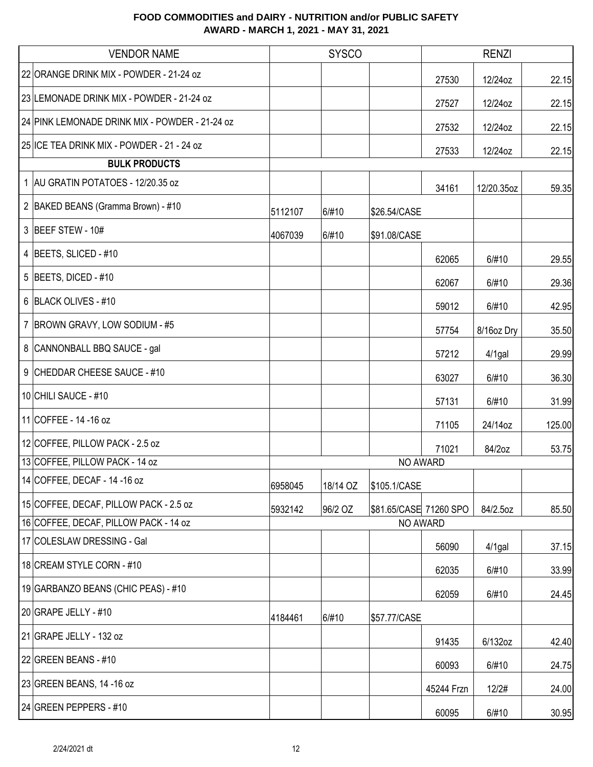| <b>VENDOR NAME</b>                             |         | <b>SYSCO</b> |                        |            | <b>RENZI</b> |        |
|------------------------------------------------|---------|--------------|------------------------|------------|--------------|--------|
| 22 ORANGE DRINK MIX - POWDER - 21-24 oz        |         |              |                        | 27530      | 12/24oz      | 22.15  |
| 23 LEMONADE DRINK MIX - POWDER - 21-24 oz      |         |              |                        | 27527      | 12/24oz      | 22.15  |
| 24 PINK LEMONADE DRINK MIX - POWDER - 21-24 oz |         |              |                        | 27532      | 12/24oz      | 22.15  |
| 25 ICE TEA DRINK MIX - POWDER - 21 - 24 oz     |         |              |                        | 27533      | 12/24oz      | 22.15  |
| <b>BULK PRODUCTS</b>                           |         |              |                        |            |              |        |
| 1 AU GRATIN POTATOES - 12/20.35 oz             |         |              |                        | 34161      | 12/20.35oz   | 59.35  |
| 2 BAKED BEANS (Gramma Brown) - #10             | 5112107 | 6/#10        | \$26.54/CASE           |            |              |        |
| 3 BEEF STEW - 10#                              | 4067039 | 6/#10        | \$91.08/CASE           |            |              |        |
| 4 BEETS, SLICED - #10                          |         |              |                        | 62065      | 6/#10        | 29.55  |
| $5$ BEETS, DICED - #10                         |         |              |                        | 62067      | 6/#10        | 29.36  |
| 6 BLACK OLIVES - #10                           |         |              |                        | 59012      | 6/#10        | 42.95  |
| 7   BROWN GRAVY, LOW SODIUM - #5               |         |              |                        | 57754      | 8/16oz Dry   | 35.50  |
| 8 CANNONBALL BBQ SAUCE - gal                   |         |              |                        | 57212      | $4/1$ gal    | 29.99  |
| 9 CHEDDAR CHEESE SAUCE - #10                   |         |              |                        | 63027      | 6/#10        | 36.30  |
| 10 CHILI SAUCE - #10                           |         |              |                        | 57131      | 6/#10        | 31.99  |
| 11 COFFEE - 14 - 16 oz                         |         |              |                        | 71105      | 24/14oz      | 125.00 |
| 12 COFFEE, PILLOW PACK - 2.5 oz                |         |              |                        | 71021      | 84/2oz       | 53.75  |
| 13 COFFEE, PILLOW PACK - 14 oz                 |         |              |                        | NO AWARD   |              |        |
| 14 COFFEE, DECAF - 14 - 16 oz                  | 6958045 | 18/14 OZ     | \$105.1/CASE           |            |              |        |
| 15 COFFEE, DECAF, PILLOW PACK - 2.5 oz         | 5932142 | 96/2 OZ      | \$81.65/CASE 71260 SPO |            | 84/2.5oz     | 85.50  |
| 16 COFFEE, DECAF, PILLOW PACK - 14 oz          |         |              |                        | NO AWARD   |              |        |
| 17 COLESLAW DRESSING - Gal                     |         |              |                        | 56090      | $4/1$ gal    | 37.15  |
| 18 CREAM STYLE CORN - #10                      |         |              |                        | 62035      | 6/#10        | 33.99  |
| 19 GARBANZO BEANS (CHIC PEAS) - #10            |         |              |                        | 62059      | 6/#10        | 24.45  |
| 20 GRAPE JELLY - #10                           | 4184461 | 6/#10        | \$57.77/CASE           |            |              |        |
| 21 GRAPE JELLY - 132 oz                        |         |              |                        | 91435      | 6/132oz      | 42.40  |
| 22 GREEN BEANS - $#10$                         |         |              |                        | 60093      | 6/#10        | 24.75  |
| 23 GREEN BEANS, 14 -16 oz                      |         |              |                        | 45244 Frzn | 12/2#        | 24.00  |
| 24 GREEN PEPPERS - #10                         |         |              |                        | 60095      | 6/#10        | 30.95  |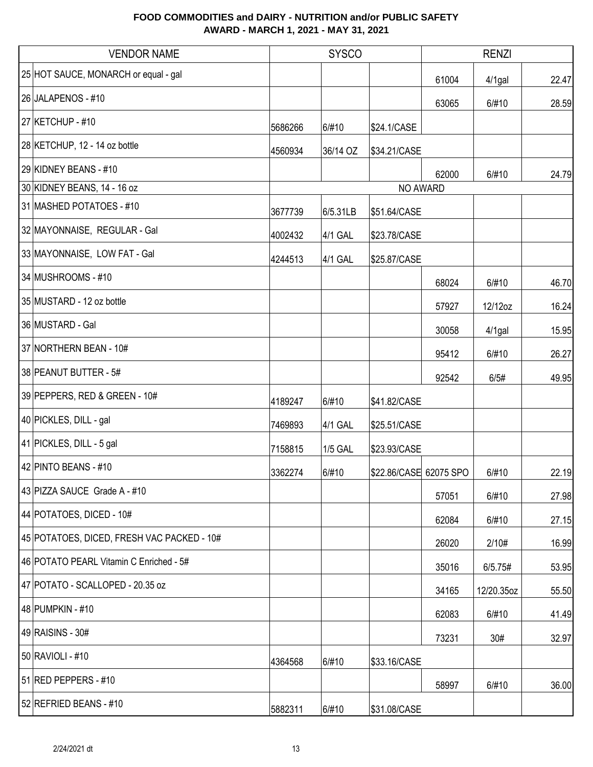| <b>VENDOR NAME</b>                         |         | <b>SYSCO</b>   |                        | <b>RENZI</b> |            |       |
|--------------------------------------------|---------|----------------|------------------------|--------------|------------|-------|
| 25 HOT SAUCE, MONARCH or equal - gal       |         |                |                        | 61004        | $4/1$ gal  | 22.47 |
| 26 JALAPENOS - #10                         |         |                |                        | 63065        | 6/#10      | 28.59 |
| 27 KETCHUP - #10                           | 5686266 | 6/#10          | \$24.1/CASE            |              |            |       |
| 28 KETCHUP, 12 - 14 oz bottle              | 4560934 | 36/14 OZ       | \$34.21/CASE           |              |            |       |
| 29 KIDNEY BEANS - #10                      |         |                |                        | 62000        | 6/#10      | 24.79 |
| 30 KIDNEY BEANS, 14 - 16 oz                |         |                |                        | NO AWARD     |            |       |
| 31 MASHED POTATOES - #10                   | 3677739 | 6/5.31LB       | \$51.64/CASE           |              |            |       |
| 32 MAYONNAISE, REGULAR - Gal               | 4002432 | 4/1 GAL        | \$23.78/CASE           |              |            |       |
| 33 MAYONNAISE, LOW FAT - Gal               | 4244513 | 4/1 GAL        | \$25.87/CASE           |              |            |       |
| 34 MUSHROOMS - #10                         |         |                |                        | 68024        | 6/#10      | 46.70 |
| 35 MUSTARD - 12 oz bottle                  |         |                |                        | 57927        | 12/12oz    | 16.24 |
| 36 MUSTARD - Gal                           |         |                |                        | 30058        | $4/1$ gal  | 15.95 |
| 37 NORTHERN BEAN - 10#                     |         |                |                        | 95412        | 6/#10      | 26.27 |
| 38 PEANUT BUTTER - 5#                      |         |                |                        | 92542        | 6/5#       | 49.95 |
| 39 PEPPERS, RED & GREEN - 10#              | 4189247 | 6/#10          | \$41.82/CASE           |              |            |       |
| 40 PICKLES, DILL - gal                     | 7469893 | 4/1 GAL        | \$25.51/CASE           |              |            |       |
| 41 PICKLES, DILL - 5 gal                   | 7158815 | <b>1/5 GAL</b> | \$23.93/CASE           |              |            |       |
| 42 PINTO BEANS - #10                       | 3362274 | 6/#10          | \$22.86/CASE 62075 SPO |              | 6/#10      | 22.19 |
| 43 PIZZA SAUCE Grade A - #10               |         |                |                        | 57051        | 6/#10      | 27.98 |
| 44 POTATOES, DICED - 10#                   |         |                |                        | 62084        | 6/#10      | 27.15 |
| 45 POTATOES, DICED, FRESH VAC PACKED - 10# |         |                |                        | 26020        | 2/10#      | 16.99 |
| 46 POTATO PEARL Vitamin C Enriched - 5#    |         |                |                        | 35016        | 6/5.75#    | 53.95 |
| 47 POTATO - SCALLOPED - 20.35 oz           |         |                |                        | 34165        | 12/20.35oz | 55.50 |
| 48 PUMPKIN - #10                           |         |                |                        | 62083        | 6/#10      | 41.49 |
| 49 RAISINS - 30#                           |         |                |                        | 73231        | 30#        | 32.97 |
| 50 RAVIOLI - #10                           | 4364568 | 6/#10          | \$33.16/CASE           |              |            |       |
| 51 RED PEPPERS - #10                       |         |                |                        | 58997        | 6/#10      | 36.00 |
| 52 REFRIED BEANS - #10                     | 5882311 | 6/#10          | \$31.08/CASE           |              |            |       |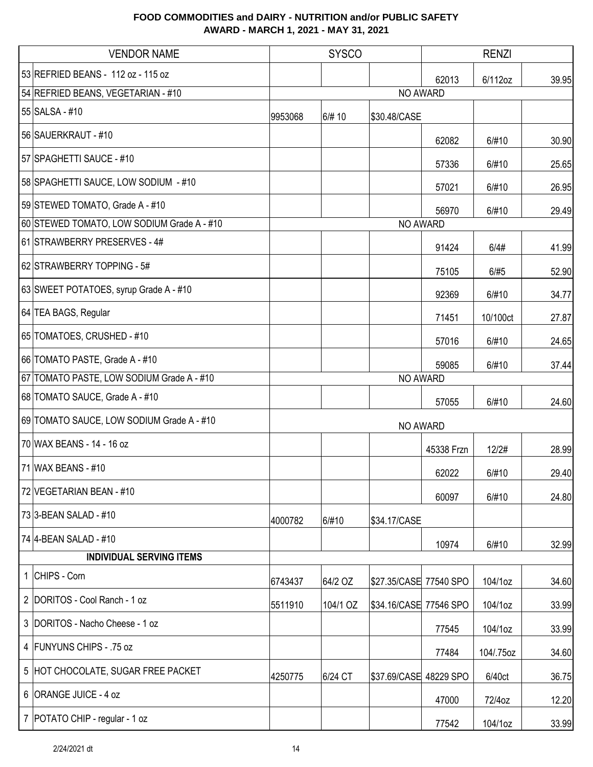| <b>VENDOR NAME</b>                         |         | <b>SYSCO</b> |                        | <b>RENZI</b> |           |       |
|--------------------------------------------|---------|--------------|------------------------|--------------|-----------|-------|
| 53 REFRIED BEANS - 112 oz - 115 oz         |         |              |                        | 62013        | 6/112oz   | 39.95 |
| 54 REFRIED BEANS, VEGETARIAN - #10         |         |              | NO AWARD               |              |           |       |
| 55 SALSA - #10                             | 9953068 | 6/# 10       | \$30.48/CASE           |              |           |       |
| 56 SAUERKRAUT - #10                        |         |              |                        | 62082        | 6/#10     | 30.90 |
| 57 SPAGHETTI SAUCE - #10                   |         |              |                        | 57336        | 6/#10     | 25.65 |
| 58 SPAGHETTI SAUCE, LOW SODIUM - #10       |         |              |                        | 57021        | 6/#10     | 26.95 |
| 59 STEWED TOMATO, Grade A - #10            |         |              |                        | 56970        | 6/#10     | 29.49 |
| 60 STEWED TOMATO, LOW SODIUM Grade A - #10 |         |              | NO AWARD               |              |           |       |
| 61 STRAWBERRY PRESERVES - 4#               |         |              |                        | 91424        | 6/4#      | 41.99 |
| 62 STRAWBERRY TOPPING - 5#                 |         |              |                        | 75105        | 6/#5      | 52.90 |
| 63 SWEET POTATOES, syrup Grade A - #10     |         |              |                        | 92369        | 6/#10     | 34.77 |
| 64 TEA BAGS, Regular                       |         |              |                        | 71451        | 10/100ct  | 27.87 |
| 65 TOMATOES, CRUSHED - #10                 |         |              |                        | 57016        | 6/#10     | 24.65 |
| 66 TOMATO PASTE, Grade A - #10             |         |              |                        | 59085        | 6/#10     | 37.44 |
| 67 TOMATO PASTE, LOW SODIUM Grade A - #10  |         |              | NO AWARD               |              |           |       |
| 68 TOMATO SAUCE, Grade A - #10             |         |              |                        | 57055        | 6/#10     | 24.60 |
| 69 TOMATO SAUCE, LOW SODIUM Grade A - #10  |         |              | NO AWARD               |              |           |       |
| 70 WAX BEANS - 14 - 16 oz                  |         |              |                        | 45338 Frzn   | 12/2#     | 28.99 |
| 71 WAX BEANS - #10                         |         |              |                        | 62022        | 6/#10     | 29.40 |
| 72 VEGETARIAN BEAN - #10                   |         |              |                        | 60097        | 6/#10     | 24.80 |
| 73 3-BEAN SALAD - #10                      | 4000782 | 6/#10        | \$34.17/CASE           |              |           |       |
| 74 4-BEAN SALAD - #10                      |         |              |                        | 10974        | 6/#10     | 32.99 |
| <b>INDIVIDUAL SERVING ITEMS</b>            |         |              |                        |              |           |       |
| 1 CHIPS - Corn                             | 6743437 | 64/2 OZ      | \$27.35/CASE 77540 SPO |              | 104/1oz   | 34.60 |
| 2 DORITOS - Cool Ranch - 1 oz              | 5511910 | 104/1 OZ     | \$34.16/CASE 77546 SPO |              | 104/1oz   | 33.99 |
| 3 DORITOS - Nacho Cheese - 1 oz            |         |              |                        | 77545        | 104/1oz   | 33.99 |
| 4 FUNYUNS CHIPS - .75 oz                   |         |              |                        | 77484        | 104/.75oz | 34.60 |
| 5 HOT CHOCOLATE, SUGAR FREE PACKET         | 4250775 | 6/24 CT      | \$37.69/CASE 48229 SPO |              | 6/40ct    | 36.75 |
| 6 ORANGE JUICE - 4 oz                      |         |              |                        | 47000        | 72/4oz    | 12.20 |
| 7   POTATO CHIP - regular - 1 oz           |         |              |                        | 77542        | 104/1oz   | 33.99 |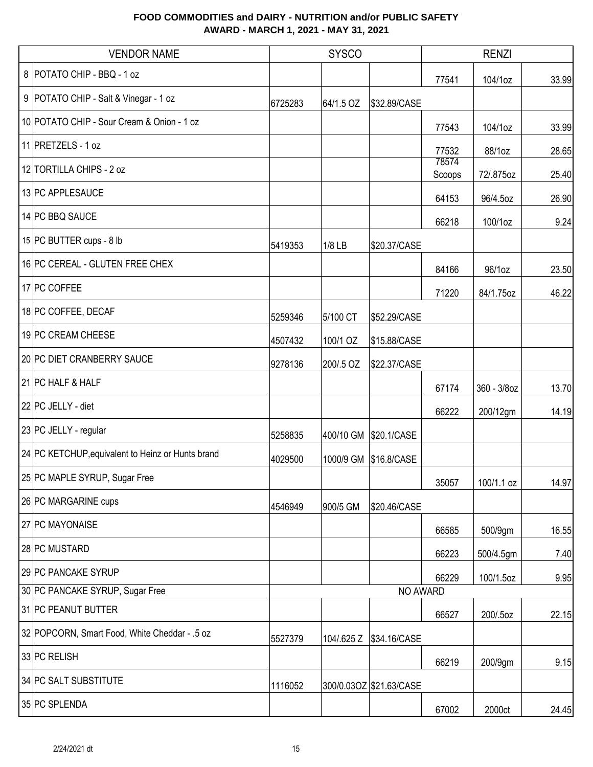| <b>VENDOR NAME</b>                                |         | <b>SYSCO</b> |                         |                 | <b>RENZI</b> |       |
|---------------------------------------------------|---------|--------------|-------------------------|-----------------|--------------|-------|
| 8 POTATO CHIP - BBQ - 1 oz                        |         |              |                         | 77541           | 104/1oz      | 33.99 |
| 9   POTATO CHIP - Salt & Vinegar - 1 oz           | 6725283 | 64/1.5 OZ    | \$32.89/CASE            |                 |              |       |
| 10 POTATO CHIP - Sour Cream & Onion - 1 oz        |         |              |                         | 77543           | 104/1oz      | 33.99 |
| 11 PRETZELS - 1 oz                                |         |              |                         | 77532           | 88/1oz       | 28.65 |
| 12 TORTILLA CHIPS - 2 oz                          |         |              |                         | 78574<br>Scoops | 72/.875oz    | 25.40 |
| 13 PC APPLESAUCE                                  |         |              |                         | 64153           | 96/4.5oz     | 26.90 |
| 14 PC BBQ SAUCE                                   |         |              |                         | 66218           | 100/1oz      | 9.24  |
| 15 PC BUTTER cups - 8 lb                          | 5419353 | 1/8 LB       | \$20.37/CASE            |                 |              |       |
| 16 PC CEREAL - GLUTEN FREE CHEX                   |         |              |                         | 84166           | 96/1oz       | 23.50 |
| 17 PC COFFEE                                      |         |              |                         | 71220           | 84/1.75oz    | 46.22 |
| 18 PC COFFEE, DECAF                               | 5259346 | 5/100 CT     | \$52.29/CASE            |                 |              |       |
| 19 PC CREAM CHEESE                                | 4507432 | 100/1 OZ     | \$15.88/CASE            |                 |              |       |
| 20 PC DIET CRANBERRY SAUCE                        | 9278136 | 200/.5 OZ    | \$22.37/CASE            |                 |              |       |
| 21 PC HALF & HALF                                 |         |              |                         | 67174           | 360 - 3/8oz  | 13.70 |
| 22 PC JELLY - diet                                |         |              |                         | 66222           | 200/12gm     | 14.19 |
| 23 PC JELLY - regular                             | 5258835 |              | 400/10 GM \$20.1/CASE   |                 |              |       |
| 24 PC KETCHUP, equivalent to Heinz or Hunts brand | 4029500 | 1000/9 GM    | \$16.8/CASE             |                 |              |       |
| 25 PC MAPLE SYRUP, Sugar Free                     |         |              |                         | 35057           | 100/1.1 oz   | 14.97 |
| 26 PC MARGARINE cups                              | 4546949 | 900/5 GM     | \$20.46/CASE            |                 |              |       |
| 27 PC MAYONAISE                                   |         |              |                         | 66585           | 500/9gm      | 16.55 |
| 28 PC MUSTARD                                     |         |              |                         | 66223           | 500/4.5gm    | 7.40  |
| 29 PC PANCAKE SYRUP                               |         |              |                         | 66229           | 100/1.5oz    | 9.95  |
| 30 PC PANCAKE SYRUP, Sugar Free                   |         |              | NO AWARD                |                 |              |       |
| 31 PC PEANUT BUTTER                               |         |              |                         | 66527           | 200/.5oz     | 22.15 |
| 32 POPCORN, Smart Food, White Cheddar - .5 oz     | 5527379 | 104/.625 Z   | \$34.16/CASE            |                 |              |       |
| 33 PC RELISH                                      |         |              |                         | 66219           | 200/9gm      | 9.15  |
| 34 PC SALT SUBSTITUTE                             | 1116052 |              | 300/0.03OZ \$21.63/CASE |                 |              |       |
| 35 PC SPLENDA                                     |         |              |                         | 67002           | 2000ct       | 24.45 |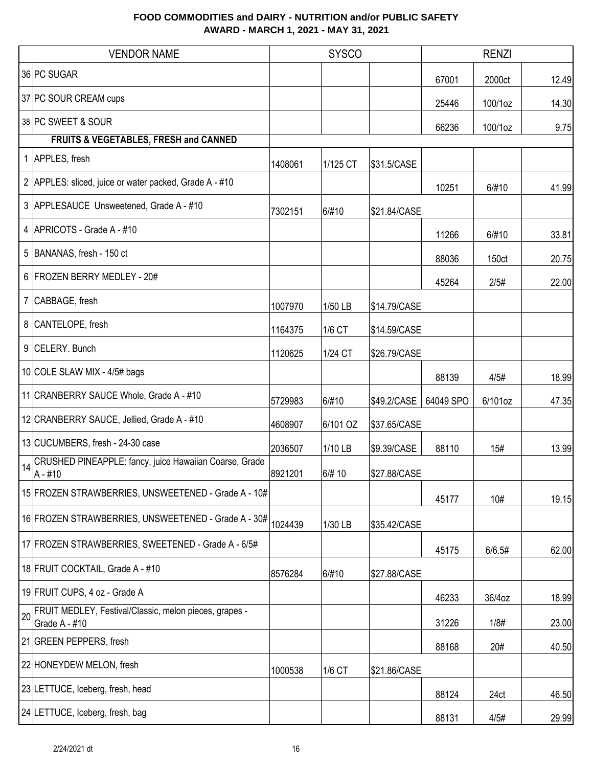|    | <b>VENDOR NAME</b>                                                      |         | <b>SYSCO</b> |              |           | <b>RENZI</b>      |       |
|----|-------------------------------------------------------------------------|---------|--------------|--------------|-----------|-------------------|-------|
|    | 36 PC SUGAR                                                             |         |              |              | 67001     | 2000ct            | 12.49 |
|    | 37 PC SOUR CREAM cups                                                   |         |              |              | 25446     | 100/1oz           | 14.30 |
|    | 38 PC SWEET & SOUR                                                      |         |              |              | 66236     | 100/1oz           | 9.75  |
|    | FRUITS & VEGETABLES, FRESH and CANNED                                   |         |              |              |           |                   |       |
|    | 1 APPLES, fresh                                                         | 1408061 | 1/125 CT     | \$31.5/CASE  |           |                   |       |
|    | 2 APPLES: sliced, juice or water packed, Grade A - #10                  |         |              |              | 10251     | 6/#10             | 41.99 |
|    | 3 APPLESAUCE Unsweetened, Grade A - #10                                 | 7302151 | 6/#10        | \$21.84/CASE |           |                   |       |
|    | 4   APRICOTS - Grade A - #10                                            |         |              |              | 11266     | 6/#10             | 33.81 |
| 5  | BANANAS, fresh - 150 ct                                                 |         |              |              | 88036     | 150 <sub>ct</sub> | 20.75 |
|    | 6 FROZEN BERRY MEDLEY - 20#                                             |         |              |              | 45264     | 2/5#              | 22.00 |
|    | 7 CABBAGE, fresh                                                        | 1007970 | 1/50 LB      | \$14.79/CASE |           |                   |       |
|    | 8 CANTELOPE, fresh                                                      | 1164375 | 1/6 CT       | \$14.59/CASE |           |                   |       |
|    | 9 CELERY. Bunch                                                         | 1120625 | 1/24 CT      | \$26.79/CASE |           |                   |       |
|    | 10 COLE SLAW MIX - 4/5# bags                                            |         |              |              | 88139     | 4/5#              | 18.99 |
|    | 11 CRANBERRY SAUCE Whole, Grade A - #10                                 | 5729983 | 6/#10        | \$49.2/CASE  | 64049 SPO | 6/101oz           | 47.35 |
|    | 12 CRANBERRY SAUCE, Jellied, Grade A - #10                              | 4608907 | 6/101 OZ     | \$37.65/CASE |           |                   |       |
|    | 13 CUCUMBERS, fresh - 24-30 case                                        | 2036507 | 1/10 LB      | \$9.39/CASE  | 88110     | 15#               | 13.99 |
| 14 | CRUSHED PINEAPPLE: fancy, juice Hawaiian Coarse, Grade<br>A - #10       | 8921201 | 6/# 10       | \$27.88/CASE |           |                   |       |
|    | 15 FROZEN STRAWBERRIES, UNSWEETENED - Grade A - 10#                     |         |              |              | 45177     | 10#               | 19.15 |
|    | 16 FROZEN STRAWBERRIES, UNSWEETENED - Grade A - 30#                     | 1024439 | 1/30 LB      | \$35.42/CASE |           |                   |       |
|    | 17 FROZEN STRAWBERRIES, SWEETENED - Grade A - 6/5#                      |         |              |              | 45175     | 6/6.5#            | 62.00 |
|    | 18 FRUIT COCKTAIL, Grade A - #10                                        | 8576284 | 6/#10        | \$27.88/CASE |           |                   |       |
|    | 19 FRUIT CUPS, 4 oz - Grade A                                           |         |              |              | 46233     | 36/4oz            | 18.99 |
| 20 | FRUIT MEDLEY, Festival/Classic, melon pieces, grapes -<br>Grade A - #10 |         |              |              | 31226     | 1/8#              | 23.00 |
|    | 21 GREEN PEPPERS, fresh                                                 |         |              |              | 88168     | 20#               | 40.50 |
|    | 22 HONEYDEW MELON, fresh                                                | 1000538 | 1/6 CT       | \$21.86/CASE |           |                   |       |
|    | 23 LETTUCE, Iceberg, fresh, head                                        |         |              |              | 88124     | 24ct              | 46.50 |
|    | 24 LETTUCE, Iceberg, fresh, bag                                         |         |              |              | 88131     | 4/5#              | 29.99 |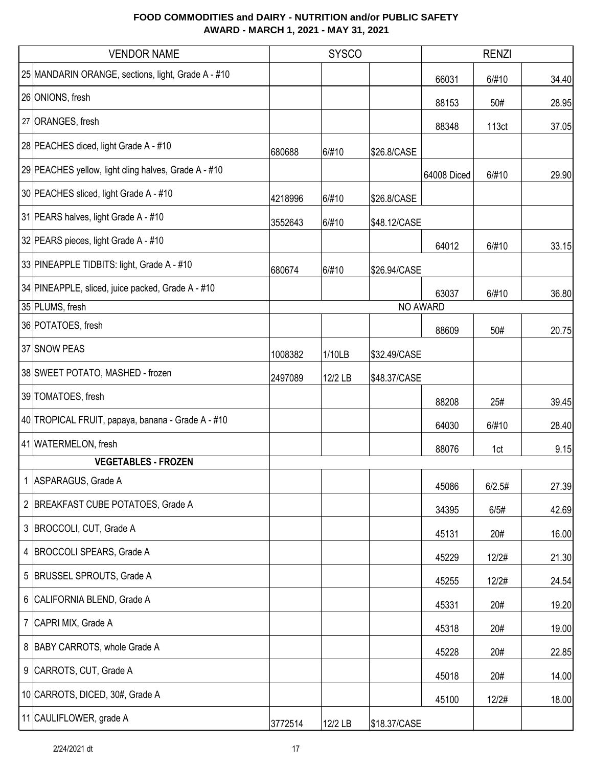| <b>VENDOR NAME</b>                                   | <b>SYSCO</b> |         |              | <b>RENZI</b> |        |       |
|------------------------------------------------------|--------------|---------|--------------|--------------|--------|-------|
| 25 MANDARIN ORANGE, sections, light, Grade A - #10   |              |         |              | 66031        | 6/#10  | 34.40 |
| 26 ONIONS, fresh                                     |              |         |              | 88153        | 50#    | 28.95 |
| 27 ORANGES, fresh                                    |              |         |              | 88348        | 113ct  | 37.05 |
| 28 PEACHES diced, light Grade A - #10                | 680688       | 6/#10   | \$26.8/CASE  |              |        |       |
| 29 PEACHES yellow, light cling halves, Grade A - #10 |              |         |              | 64008 Diced  | 6/#10  | 29.90 |
| 30 PEACHES sliced, light Grade A - #10               | 4218996      | 6/#10   | \$26.8/CASE  |              |        |       |
| 31 PEARS halves, light Grade A - #10                 | 3552643      | 6/#10   | \$48.12/CASE |              |        |       |
| 32 PEARS pieces, light Grade A - #10                 |              |         |              | 64012        | 6/#10  | 33.15 |
| 33 PINEAPPLE TIDBITS: light, Grade A - #10           | 680674       | 6/#10   | \$26.94/CASE |              |        |       |
| 34 PINEAPPLE, sliced, juice packed, Grade A - #10    |              |         |              | 63037        | 6/#10  | 36.80 |
| 35 PLUMS, fresh                                      |              |         |              | NO AWARD     |        |       |
| 36 POTATOES, fresh                                   |              |         |              | 88609        | 50#    | 20.75 |
| 37 SNOW PEAS                                         | 1008382      | 1/10LB  | \$32.49/CASE |              |        |       |
| 38 SWEET POTATO, MASHED - frozen                     | 2497089      | 12/2 LB | \$48.37/CASE |              |        |       |
| 39 TOMATOES, fresh                                   |              |         |              | 88208        | 25#    | 39.45 |
| 40 TROPICAL FRUIT, papaya, banana - Grade A - #10    |              |         |              | 64030        | 6/#10  | 28.40 |
| 41 WATERMELON, fresh                                 |              |         |              | 88076        | 1ct    | 9.15  |
| <b>VEGETABLES - FROZEN</b>                           |              |         |              |              |        |       |
| 1 ASPARAGUS, Grade A                                 |              |         |              | 45086        | 6/2.5# | 27.39 |
| 2 BREAKFAST CUBE POTATOES, Grade A                   |              |         |              | 34395        | 6/5#   | 42.69 |
| 3 BROCCOLI, CUT, Grade A                             |              |         |              | 45131        | 20#    | 16.00 |
| 4 BROCCOLI SPEARS, Grade A                           |              |         |              | 45229        | 12/2#  | 21.30 |
| 5 BRUSSEL SPROUTS, Grade A                           |              |         |              | 45255        | 12/2#  | 24.54 |
| 6 CALIFORNIA BLEND, Grade A                          |              |         |              | 45331        | 20#    | 19.20 |
| 7 CAPRI MIX, Grade A                                 |              |         |              | 45318        | 20#    | 19.00 |
| 8 BABY CARROTS, whole Grade A                        |              |         |              | 45228        | 20#    | 22.85 |
| 9 CARROTS, CUT, Grade A                              |              |         |              | 45018        | 20#    | 14.00 |
| 10 CARROTS, DICED, 30#, Grade A                      |              |         |              | 45100        | 12/2#  | 18.00 |
| 11 CAULIFLOWER, grade A                              | 3772514      | 12/2 LB | \$18.37/CASE |              |        |       |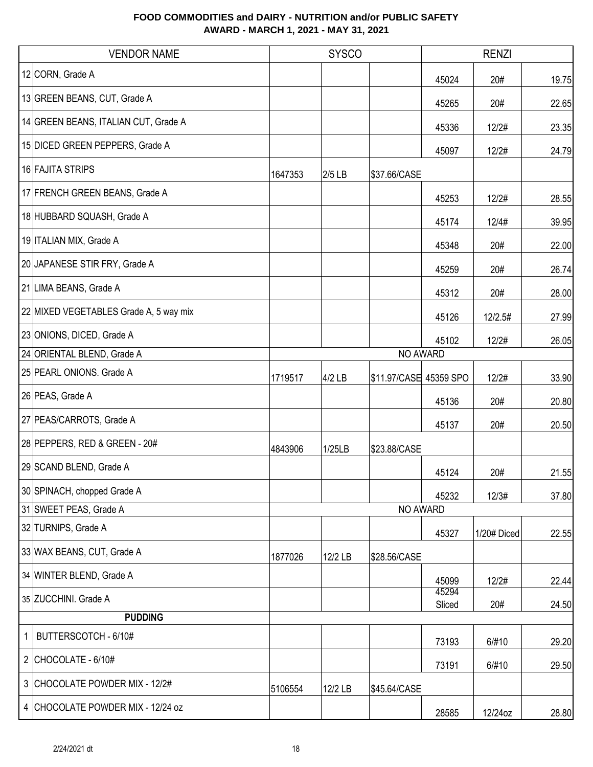|   | <b>VENDOR NAME</b>                     |         | <b>SYSCO</b> |                        | <b>RENZI</b>    |             |       |
|---|----------------------------------------|---------|--------------|------------------------|-----------------|-------------|-------|
|   | 12 CORN, Grade A                       |         |              |                        | 45024           | 20#         | 19.75 |
|   | 13 GREEN BEANS, CUT, Grade A           |         |              |                        | 45265           | 20#         | 22.65 |
|   | 14 GREEN BEANS, ITALIAN CUT, Grade A   |         |              |                        | 45336           | 12/2#       | 23.35 |
|   | 15 DICED GREEN PEPPERS, Grade A        |         |              |                        | 45097           | 12/2#       | 24.79 |
|   | 16 FAJITA STRIPS                       | 1647353 | 2/5 LB       | \$37.66/CASE           |                 |             |       |
|   | 17 FRENCH GREEN BEANS, Grade A         |         |              |                        | 45253           | 12/2#       | 28.55 |
|   | 18 HUBBARD SQUASH, Grade A             |         |              |                        | 45174           | 12/4#       | 39.95 |
|   | 19 ITALIAN MIX, Grade A                |         |              |                        | 45348           | 20#         | 22.00 |
|   | 20 JAPANESE STIR FRY, Grade A          |         |              |                        | 45259           | 20#         | 26.74 |
|   | 21 LIMA BEANS, Grade A                 |         |              |                        | 45312           | 20#         | 28.00 |
|   | 22 MIXED VEGETABLES Grade A, 5 way mix |         |              |                        | 45126           | 12/2.5#     | 27.99 |
|   | 23 ONIONS, DICED, Grade A              |         |              |                        | 45102           | 12/2#       | 26.05 |
|   | 24 ORIENTAL BLEND, Grade A             |         |              | NO AWARD               |                 |             |       |
|   | 25 PEARL ONIONS. Grade A               | 1719517 | $4/2$ LB     | \$11.97/CASE 45359 SPO |                 | 12/2#       | 33.90 |
|   | 26 PEAS, Grade A                       |         |              |                        | 45136           | 20#         | 20.80 |
|   | 27 PEAS/CARROTS, Grade A               |         |              |                        | 45137           | 20#         | 20.50 |
|   | 28 PEPPERS, RED & GREEN - 20#          | 4843906 | 1/25LB       | \$23.88/CASE           |                 |             |       |
|   | 29 SCAND BLEND, Grade A                |         |              |                        | 45124           | 20#         | 21.55 |
|   | 30 SPINACH, chopped Grade A            |         |              |                        | 45232           | 12/3#       | 37.80 |
|   | 31 SWEET PEAS, Grade A                 |         |              | NO AWARD               |                 |             |       |
|   | 32 TURNIPS, Grade A                    |         |              |                        | 45327           | 1/20# Diced | 22.55 |
|   | 33 WAX BEANS, CUT, Grade A             | 1877026 | 12/2 LB      | \$28.56/CASE           |                 |             |       |
|   | 34 WINTER BLEND, Grade A               |         |              |                        | 45099           | 12/2#       | 22.44 |
|   | 35 ZUCCHINI. Grade A                   |         |              |                        | 45294<br>Sliced | 20#         | 24.50 |
|   | <b>PUDDING</b>                         |         |              |                        |                 |             |       |
| 1 | BUTTERSCOTCH - 6/10#                   |         |              |                        | 73193           | 6/#10       | 29.20 |
|   | 2 CHOCOLATE - $6/10#$                  |         |              |                        | 73191           | 6/#10       | 29.50 |
|   | 3 CHOCOLATE POWDER MIX - 12/2#         | 5106554 | 12/2 LB      | \$45.64/CASE           |                 |             |       |
|   | 4 CHOCOLATE POWDER MIX - 12/24 oz      |         |              |                        | 28585           | 12/24oz     | 28.80 |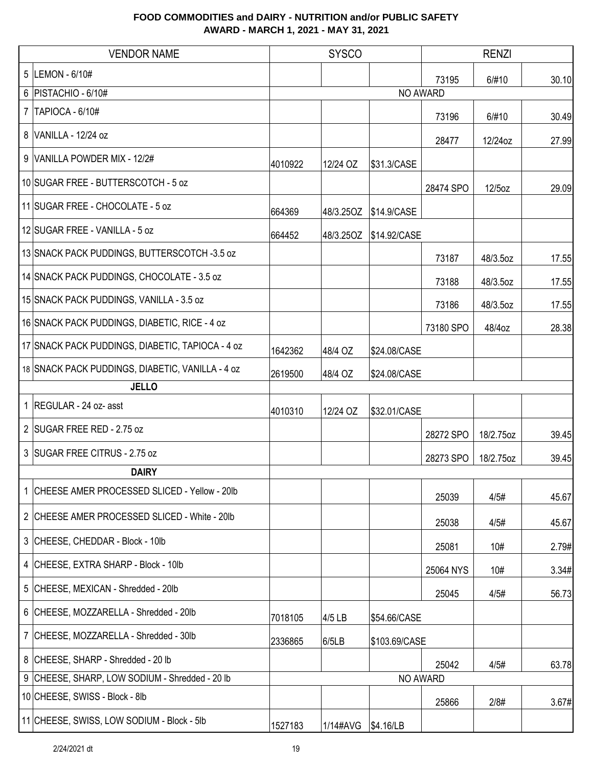| <b>VENDOR NAME</b>                               |         | <b>SYSCO</b> |               |           | <b>RENZI</b> |       |
|--------------------------------------------------|---------|--------------|---------------|-----------|--------------|-------|
| 5 LEMON - 6/10#                                  |         |              |               | 73195     | 6/#10        | 30.10 |
| 6   PISTACHIO - 6/10#                            |         |              |               | NO AWARD  |              |       |
| 7   TAPIOCA - 6/10#                              |         |              |               | 73196     | 6/#10        | 30.49 |
| 8 VANILLA - 12/24 oz                             |         |              |               | 28477     | 12/24oz      | 27.99 |
| 9 VANILLA POWDER MIX - 12/2#                     | 4010922 | 12/24 OZ     | \$31.3/CASE   |           |              |       |
| 10 SUGAR FREE - BUTTERSCOTCH - 5 oz              |         |              |               | 28474 SPO | 12/5oz       | 29.09 |
| 11 SUGAR FREE - CHOCOLATE - 5 oz                 | 664369  | 48/3.25OZ    | \$14.9/CASE   |           |              |       |
| 12 SUGAR FREE - VANILLA - 5 oz                   | 664452  | 48/3.25OZ    | \$14.92/CASE  |           |              |       |
| 13 SNACK PACK PUDDINGS, BUTTERSCOTCH -3.5 oz     |         |              |               | 73187     | 48/3.5oz     | 17.55 |
| 14 SNACK PACK PUDDINGS, CHOCOLATE - 3.5 oz       |         |              |               | 73188     | 48/3.5oz     | 17.55 |
| 15 SNACK PACK PUDDINGS, VANILLA - 3.5 oz         |         |              |               | 73186     | 48/3.5oz     | 17.55 |
| 16 SNACK PACK PUDDINGS, DIABETIC, RICE - 4 oz    |         |              |               | 73180 SPO | 48/4oz       | 28.38 |
| 17 SNACK PACK PUDDINGS, DIABETIC, TAPIOCA - 4 oz | 1642362 | 48/4 OZ      | \$24.08/CASE  |           |              |       |
| 18 SNACK PACK PUDDINGS, DIABETIC, VANILLA - 4 oz | 2619500 | 48/4 OZ      | \$24.08/CASE  |           |              |       |
| <b>JELLO</b>                                     |         |              |               |           |              |       |
| 1 REGULAR - 24 oz- asst                          | 4010310 | 12/24 OZ     | \$32.01/CASE  |           |              |       |
| 2 SUGAR FREE RED - 2.75 oz                       |         |              |               | 28272 SPO | 18/2.75oz    | 39.45 |
| 3 SUGAR FREE CITRUS - 2.75 oz                    |         |              |               | 28273 SPO | 18/2.75oz    | 39.45 |
| <b>DAIRY</b>                                     |         |              |               |           |              |       |
| 1 CHEESE AMER PROCESSED SLICED - Yellow - 20lb   |         |              |               | 25039     | 4/5#         | 45.67 |
| 2 CHEESE AMER PROCESSED SLICED - White - 20lb    |         |              |               | 25038     | 4/5#         | 45.67 |
| 3 CHEESE, CHEDDAR - Block - 10lb                 |         |              |               | 25081     | 10#          | 2.79# |
| 4 CHEESE, EXTRA SHARP - Block - 10lb             |         |              |               | 25064 NYS | 10#          | 3.34# |
| 5 CHEESE, MEXICAN - Shredded - 20lb              |         |              |               | 25045     | 4/5#         | 56.73 |
| 6 CHEESE, MOZZARELLA - Shredded - 20lb           | 7018105 | 4/5 LB       | \$54.66/CASE  |           |              |       |
| 7 CHEESE, MOZZARELLA - Shredded - 30lb           | 2336865 | 6/5LB        | \$103.69/CASE |           |              |       |
| 8 CHEESE, SHARP - Shredded - 20 lb               |         |              |               | 25042     | 4/5#         | 63.78 |
| 9 CHEESE, SHARP, LOW SODIUM - Shredded - 20 lb   |         |              |               | NO AWARD  |              |       |
| 10 CHEESE, SWISS - Block - 8lb                   |         |              |               | 25866     | 2/8#         | 3.67# |
| 11 CHEESE, SWISS, LOW SODIUM - Block - 5lb       | 1527183 | 1/14#AVG     | \$4.16/LB     |           |              |       |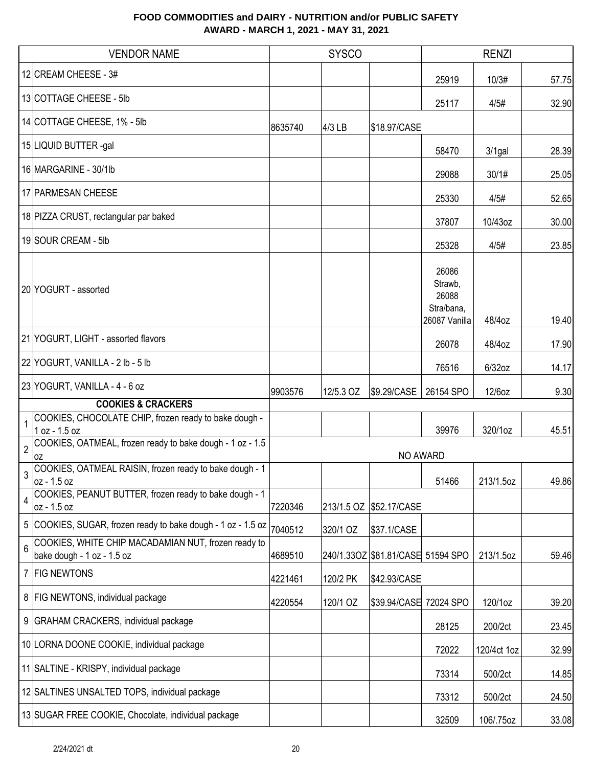|                | <b>VENDOR NAME</b>                                                                |         | <b>SYSCO</b> |                                   |                                                          | <b>RENZI</b> |       |
|----------------|-----------------------------------------------------------------------------------|---------|--------------|-----------------------------------|----------------------------------------------------------|--------------|-------|
|                | 12 CREAM CHEESE - 3#                                                              |         |              |                                   | 25919                                                    | 10/3#        | 57.75 |
|                | 13 COTTAGE CHEESE - 5lb                                                           |         |              |                                   | 25117                                                    | 4/5#         | 32.90 |
|                | 14 COTTAGE CHEESE, 1% - 5lb                                                       | 8635740 | 4/3 LB       | \$18.97/CASE                      |                                                          |              |       |
|                | 15 LIQUID BUTTER -gal                                                             |         |              |                                   | 58470                                                    | $3/1$ gal    | 28.39 |
|                | 16 MARGARINE - 30/1lb                                                             |         |              |                                   | 29088                                                    | 30/1#        | 25.05 |
|                | 17 PARMESAN CHEESE                                                                |         |              |                                   | 25330                                                    | 4/5#         | 52.65 |
|                | 18 PIZZA CRUST, rectangular par baked                                             |         |              |                                   | 37807                                                    | 10/43oz      | 30.00 |
|                | 19 SOUR CREAM - 5lb                                                               |         |              |                                   | 25328                                                    | 4/5#         | 23.85 |
|                | 20 YOGURT - assorted                                                              |         |              |                                   | 26086<br>Strawb,<br>26088<br>Stra/bana,<br>26087 Vanilla | 48/4oz       | 19.40 |
|                | 21 YOGURT, LIGHT - assorted flavors                                               |         |              |                                   | 26078                                                    | 48/4oz       | 17.90 |
|                | 22 YOGURT, VANILLA - 2 lb - 5 lb                                                  |         |              |                                   | 76516                                                    | $6/32$ oz    | 14.17 |
|                | 23 YOGURT, VANILLA - 4 - 6 oz                                                     | 9903576 | 12/5.3 OZ    | \$9.29/CASE                       | 26154 SPO                                                | 12/6oz       | 9.30  |
|                | <b>COOKIES &amp; CRACKERS</b>                                                     |         |              |                                   |                                                          |              |       |
|                | COOKIES, CHOCOLATE CHIP, frozen ready to bake dough -<br>1 oz - 1.5 oz            |         |              |                                   | 39976                                                    | 320/1oz      | 45.51 |
| $\overline{2}$ | COOKIES, OATMEAL, frozen ready to bake dough - 1 oz - 1.5<br>0Z                   |         |              | NO AWARD                          |                                                          |              |       |
|                | COOKIES, OATMEAL RAISIN, frozen ready to bake dough - 1<br>loz - 1.5 oz           |         |              |                                   | 51466                                                    | 213/1.5oz    | 49.86 |
| 4              | COOKIES, PEANUT BUTTER, frozen ready to bake dough - 1<br>oz - 1.5 oz             | 7220346 | 213/1.5 OZ   | \$52.17/CASE                      |                                                          |              |       |
|                | 5 COOKIES, SUGAR, frozen ready to bake dough - 1 oz - 1.5 oz                      | 7040512 | 320/1 OZ     | \$37.1/CASE                       |                                                          |              |       |
| $6\phantom{1}$ | COOKIES, WHITE CHIP MACADAMIAN NUT, frozen ready to<br>bake dough - 1 oz - 1.5 oz | 4689510 |              | 240/1.33OZ \$81.81/CASE 51594 SPO |                                                          | 213/1.5oz    | 59.46 |
|                | 7 FIG NEWTONS                                                                     | 4221461 | 120/2 PK     | \$42.93/CASE                      |                                                          |              |       |
|                | 8   FIG NEWTONS, individual package                                               | 4220554 | 120/1 OZ     | \$39.94/CASE 72024 SPO            |                                                          | 120/1oz      | 39.20 |
|                | 9 GRAHAM CRACKERS, individual package                                             |         |              |                                   | 28125                                                    | 200/2ct      | 23.45 |
|                | 10 LORNA DOONE COOKIE, individual package                                         |         |              |                                   | 72022                                                    | 120/4ct 1oz  | 32.99 |
|                | 11 SALTINE - KRISPY, individual package                                           |         |              |                                   | 73314                                                    | 500/2ct      | 14.85 |
|                | 12 SALTINES UNSALTED TOPS, individual package                                     |         |              |                                   | 73312                                                    | 500/2ct      | 24.50 |
|                | 13 SUGAR FREE COOKIE, Chocolate, individual package                               |         |              |                                   | 32509                                                    | 106/.75oz    | 33.08 |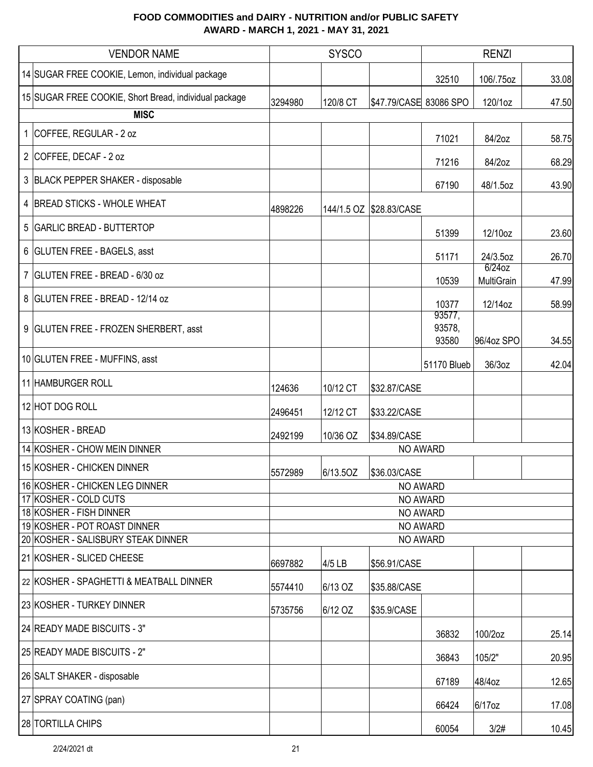| <b>VENDOR NAME</b>                                      |         | <b>SYSCO</b> |                         |                           | <b>RENZI</b>            |       |  |
|---------------------------------------------------------|---------|--------------|-------------------------|---------------------------|-------------------------|-------|--|
| 14 SUGAR FREE COOKIE, Lemon, individual package         |         |              |                         | 32510                     | 106/.75oz               | 33.08 |  |
| 15 SUGAR FREE COOKIE, Short Bread, individual package   | 3294980 | 120/8 CT     | \$47.79/CASE 83086 SPO  |                           | 120/1oz                 | 47.50 |  |
| <b>MISC</b>                                             |         |              |                         |                           |                         |       |  |
| 1 COFFEE, REGULAR - 2 oz                                |         |              |                         | 71021                     | 84/2oz                  | 58.75 |  |
| 2 COFFEE, DECAF - 2 oz                                  |         |              |                         | 71216                     | 84/2oz                  | 68.29 |  |
| 3 BLACK PEPPER SHAKER - disposable                      |         |              |                         | 67190                     | 48/1.5oz                | 43.90 |  |
| 4 BREAD STICKS - WHOLE WHEAT                            | 4898226 |              | 144/1.5 OZ \$28.83/CASE |                           |                         |       |  |
| 5 GARLIC BREAD - BUTTERTOP                              |         |              |                         | 51399                     | 12/10oz                 | 23.60 |  |
| 6 GLUTEN FREE - BAGELS, asst                            |         |              |                         | 51171                     | 24/3.5oz                | 26.70 |  |
| 7 GLUTEN FREE - BREAD - 6/30 oz                         |         |              |                         | 10539                     | $6/24$ oz<br>MultiGrain | 47.99 |  |
| 8 GLUTEN FREE - BREAD - 12/14 oz                        |         |              |                         | 10377                     | 12/14oz                 | 58.99 |  |
| 9 GLUTEN FREE - FROZEN SHERBERT, asst                   |         |              |                         | 93577,<br>93578,<br>93580 | 96/4oz SPO              | 34.55 |  |
| 10 GLUTEN FREE - MUFFINS, asst                          |         |              |                         | 51170 Blueb               | 36/3oz                  | 42.04 |  |
| 11 HAMBURGER ROLL                                       | 124636  | 10/12 CT     | \$32.87/CASE            |                           |                         |       |  |
| 12 HOT DOG ROLL                                         | 2496451 | 12/12 CT     | \$33.22/CASE            |                           |                         |       |  |
| 13 KOSHER - BREAD                                       | 2492199 | 10/36 OZ     | \$34.89/CASE            |                           |                         |       |  |
| 14 KOSHER - CHOW MEIN DINNER                            |         |              | NO AWARD                |                           |                         |       |  |
| 15 KOSHER - CHICKEN DINNER                              | 5572989 | 6/13.5OZ     | \$36.03/CASE            |                           |                         |       |  |
| 16 KOSHER - CHICKEN LEG DINNER                          |         |              | NO AWARD                |                           |                         |       |  |
| 17 KOSHER - COLD CUTS                                   |         |              | NO AWARD                |                           |                         |       |  |
| 18 KOSHER - FISH DINNER<br>19 KOSHER - POT ROAST DINNER |         |              | NO AWARD<br>NO AWARD    |                           |                         |       |  |
| 20 KOSHER - SALISBURY STEAK DINNER                      |         |              |                         | NO AWARD                  |                         |       |  |
| 21 KOSHER - SLICED CHEESE                               | 6697882 | 4/5 LB       | \$56.91/CASE            |                           |                         |       |  |
| 22 KOSHER - SPAGHETTI & MEATBALL DINNER                 | 5574410 | 6/13 OZ      | \$35.88/CASE            |                           |                         |       |  |
| 23 KOSHER - TURKEY DINNER                               | 5735756 | 6/12 OZ      | \$35.9/CASE             |                           |                         |       |  |
| 24 READY MADE BISCUITS - 3"                             |         |              |                         | 36832                     | 100/2oz                 | 25.14 |  |
| 25 READY MADE BISCUITS - 2"                             |         |              |                         | 36843                     | 105/2"                  | 20.95 |  |
| 26 SALT SHAKER - disposable                             |         |              |                         | 67189                     | 48/4oz                  | 12.65 |  |
| 27 SPRAY COATING (pan)                                  |         |              |                         | 66424                     | 6/17oz                  | 17.08 |  |
| 28 TORTILLA CHIPS                                       |         |              |                         | 60054                     | 3/2#                    | 10.45 |  |